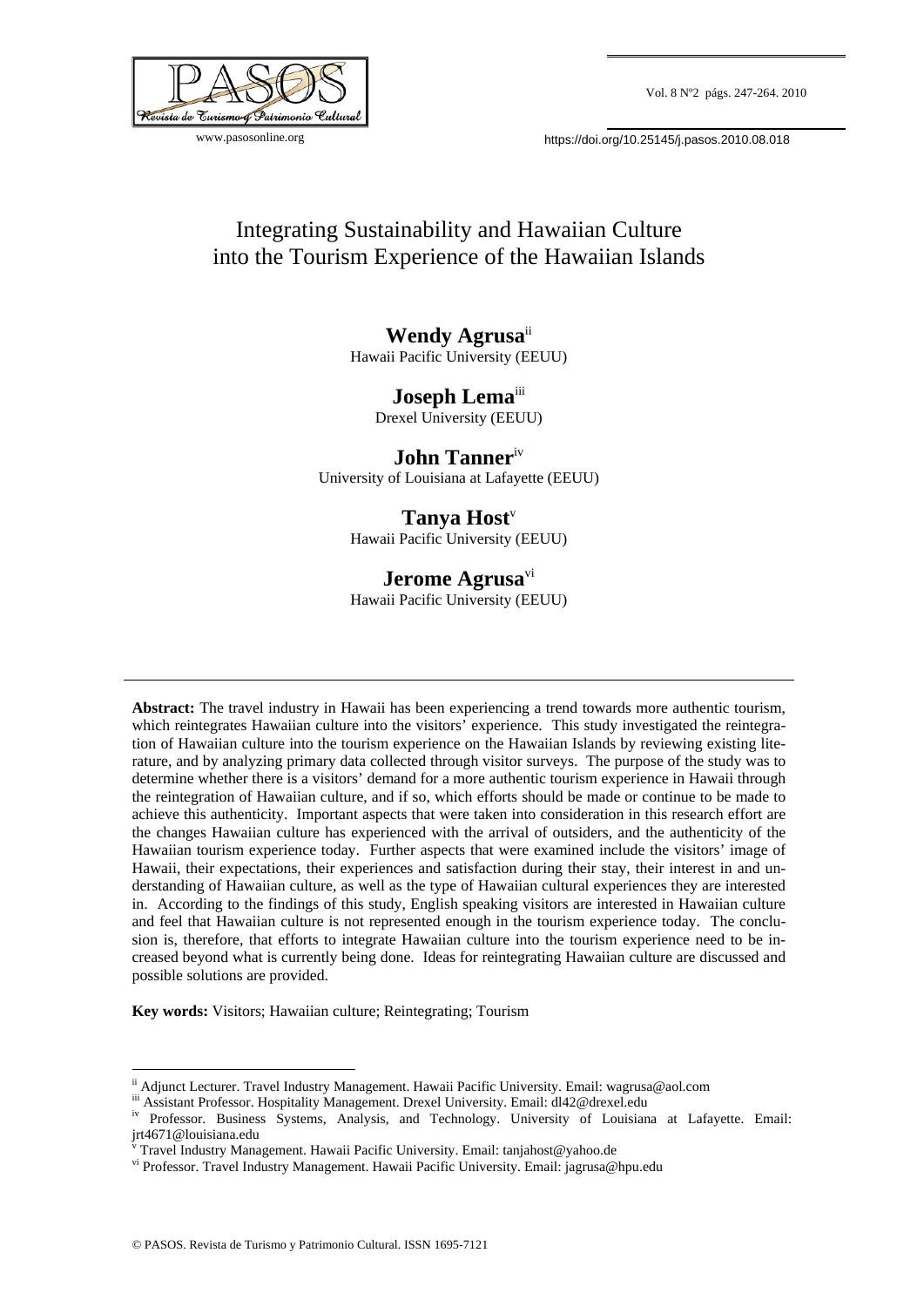

www.pasosonline.org

https://doi.org/10.25145/j.pasos.2010.08.018

# Integrating Sustainability and Hawaiian Culture into the Tourism Experience of the Hawaiian Islands

**Wendy Agrusa**ii Hawaii Pacific University (EEUU)

> **Joseph Lema**<sup>111</sup> Drexel University (EEUU)

**John Tanner**iv University of Louisiana at Lafayette (EEUU)

## Tanya Host<sup>v</sup>

Hawaii Pacific University (EEUU)

## **Jerome Agrusa**vi

Hawaii Pacific University (EEUU)

**Abstract:** The travel industry in Hawaii has been experiencing a trend towards more authentic tourism, which reintegrates Hawaiian culture into the visitors' experience. This study investigated the reintegration of Hawaiian culture into the tourism experience on the Hawaiian Islands by reviewing existing literature, and by analyzing primary data collected through visitor surveys. The purpose of the study was to determine whether there is a visitors' demand for a more authentic tourism experience in Hawaii through the reintegration of Hawaiian culture, and if so, which efforts should be made or continue to be made to achieve this authenticity. Important aspects that were taken into consideration in this research effort are the changes Hawaiian culture has experienced with the arrival of outsiders, and the authenticity of the Hawaiian tourism experience today. Further aspects that were examined include the visitors' image of Hawaii, their expectations, their experiences and satisfaction during their stay, their interest in and understanding of Hawaiian culture, as well as the type of Hawaiian cultural experiences they are interested in. According to the findings of this study, English speaking visitors are interested in Hawaiian culture and feel that Hawaiian culture is not represented enough in the tourism experience today. The conclusion is, therefore, that efforts to integrate Hawaiian culture into the tourism experience need to be increased beyond what is currently being done. Ideas for reintegrating Hawaiian culture are discussed and possible solutions are provided.

**Key words:** Visitors; Hawaiian culture; Reintegrating; Tourism

<u>.</u>

ii Adjunct Lecturer. Travel Industry Management. Hawaii Pacific University. Email: wagrusa@aol.com<br>iii Assistant Professor. Hospitality Management. Drexel University. Email: dl42@drexel.edu<br><sup>iv</sup> Professor. Business Systems jrt4671@louisiana.edu<br><sup>v</sup> Travel Industry Management. Hawaii Pacific University. Email: tanjahost@yahoo.de

v

vi Professor. Travel Industry Management. Hawaii Pacific University. Email: jagrusa@hpu.edu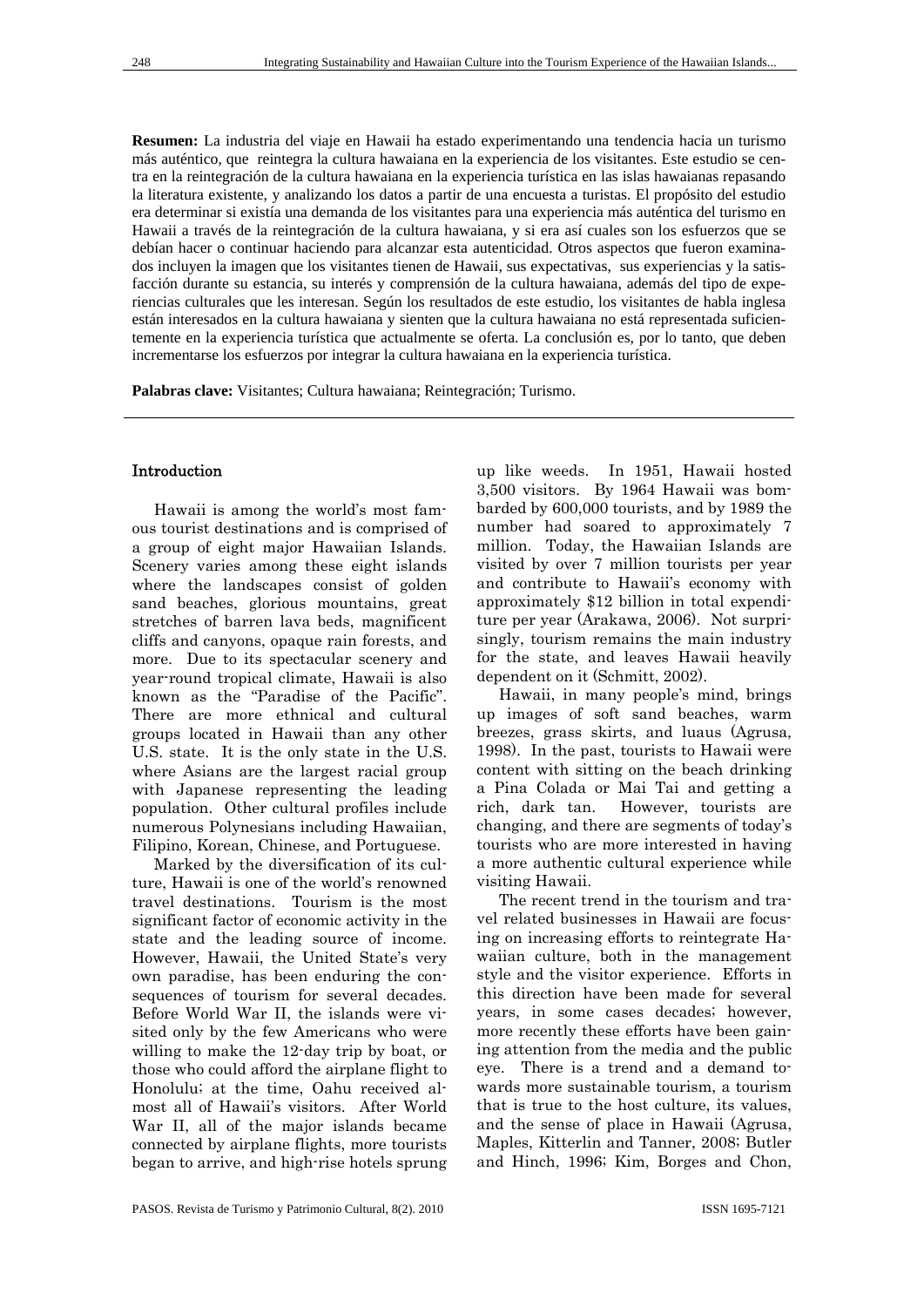**Resumen:** La industria del viaje en Hawaii ha estado experimentando una tendencia hacia un turismo más auténtico, que reintegra la cultura hawaiana en la experiencia de los visitantes. Este estudio se centra en la reintegración de la cultura hawaiana en la experiencia turística en las islas hawaianas repasando la literatura existente, y analizando los datos a partir de una encuesta a turistas. El propósito del estudio era determinar si existía una demanda de los visitantes para una experiencia más auténtica del turismo en Hawaii a través de la reintegración de la cultura hawaiana, y si era así cuales son los esfuerzos que se debían hacer o continuar haciendo para alcanzar esta autenticidad. Otros aspectos que fueron examinados incluyen la imagen que los visitantes tienen de Hawaii, sus expectativas, sus experiencias y la satisfacción durante su estancia, su interés y comprensión de la cultura hawaiana, además del tipo de experiencias culturales que les interesan. Según los resultados de este estudio, los visitantes de habla inglesa están interesados en la cultura hawaiana y sienten que la cultura hawaiana no está representada suficientemente en la experiencia turística que actualmente se oferta. La conclusión es, por lo tanto, que deben incrementarse los esfuerzos por integrar la cultura hawaiana en la experiencia turística.

**Palabras clave:** Visitantes; Cultura hawaiana; Reintegración; Turismo.

## Introduction

Hawaii is among the world's most famous tourist destinations and is comprised of a group of eight major Hawaiian Islands. Scenery varies among these eight islands where the landscapes consist of golden sand beaches, glorious mountains, great stretches of barren lava beds, magnificent cliffs and canyons, opaque rain forests, and more. Due to its spectacular scenery and year-round tropical climate, Hawaii is also known as the "Paradise of the Pacific". There are more ethnical and cultural groups located in Hawaii than any other U.S. state. It is the only state in the U.S. where Asians are the largest racial group with Japanese representing the leading population. Other cultural profiles include numerous Polynesians including Hawaiian, Filipino, Korean, Chinese, and Portuguese.

Marked by the diversification of its culture, Hawaii is one of the world's renowned travel destinations. Tourism is the most significant factor of economic activity in the state and the leading source of income. However, Hawaii, the United State's very own paradise, has been enduring the consequences of tourism for several decades. Before World War II, the islands were visited only by the few Americans who were willing to make the 12-day trip by boat, or those who could afford the airplane flight to Honolulu; at the time, Oahu received almost all of Hawaii's visitors. After World War II, all of the major islands became connected by airplane flights, more tourists began to arrive, and high-rise hotels sprung up like weeds. In 1951, Hawaii hosted 3,500 visitors. By 1964 Hawaii was bombarded by 600,000 tourists, and by 1989 the number had soared to approximately 7 million. Today, the Hawaiian Islands are visited by over 7 million tourists per year and contribute to Hawaii's economy with approximately \$12 billion in total expenditure per year (Arakawa, 2006). Not surprisingly, tourism remains the main industry for the state, and leaves Hawaii heavily dependent on it (Schmitt, 2002).

Hawaii, in many people's mind, brings up images of soft sand beaches, warm breezes, grass skirts, and luaus (Agrusa, 1998). In the past, tourists to Hawaii were content with sitting on the beach drinking a Pina Colada or Mai Tai and getting a rich, dark tan. However, tourists are changing, and there are segments of today's tourists who are more interested in having a more authentic cultural experience while visiting Hawaii.

The recent trend in the tourism and travel related businesses in Hawaii are focusing on increasing efforts to reintegrate Hawaiian culture, both in the management style and the visitor experience. Efforts in this direction have been made for several years, in some cases decades; however, more recently these efforts have been gaining attention from the media and the public eye. There is a trend and a demand towards more sustainable tourism, a tourism that is true to the host culture, its values, and the sense of place in Hawaii (Agrusa, Maples, Kitterlin and Tanner, 2008; Butler and Hinch, 1996; Kim, Borges and Chon,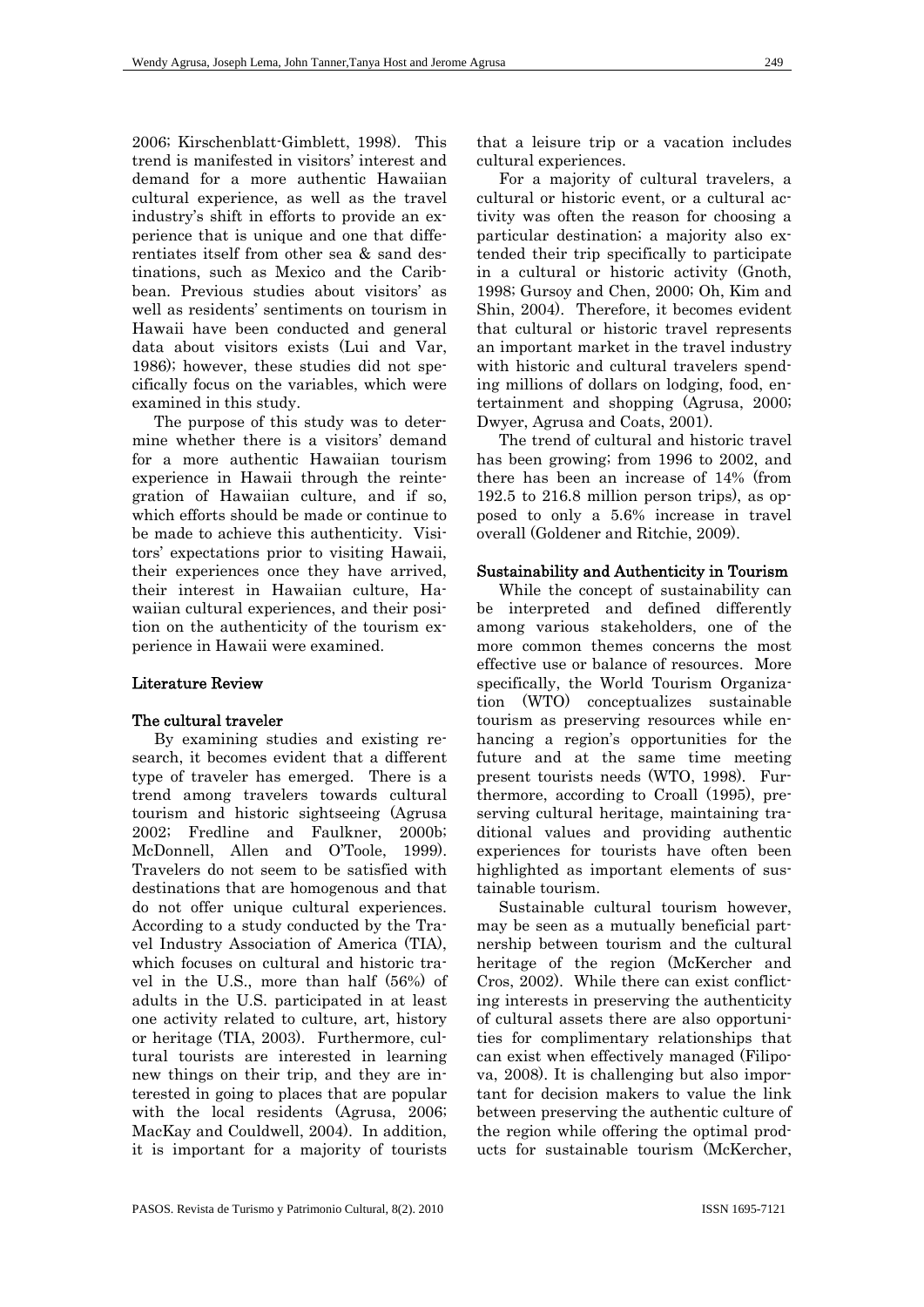2006; Kirschenblatt-Gimblett, 1998). This trend is manifested in visitors' interest and demand for a more authentic Hawaiian cultural experience, as well as the travel industry's shift in efforts to provide an experience that is unique and one that differentiates itself from other sea & sand destinations, such as Mexico and the Caribbean. Previous studies about visitors' as well as residents' sentiments on tourism in Hawaii have been conducted and general data about visitors exists (Lui and Var, 1986); however, these studies did not specifically focus on the variables, which were examined in this study.

The purpose of this study was to determine whether there is a visitors' demand for a more authentic Hawaiian tourism experience in Hawaii through the reintegration of Hawaiian culture, and if so, which efforts should be made or continue to be made to achieve this authenticity. Visitors' expectations prior to visiting Hawaii, their experiences once they have arrived, their interest in Hawaiian culture, Hawaiian cultural experiences, and their position on the authenticity of the tourism experience in Hawaii were examined.

## Literature Review

#### The cultural traveler

By examining studies and existing research, it becomes evident that a different type of traveler has emerged. There is a trend among travelers towards cultural tourism and historic sightseeing (Agrusa 2002; Fredline and Faulkner, 2000b; McDonnell, Allen and O'Toole, 1999). Travelers do not seem to be satisfied with destinations that are homogenous and that do not offer unique cultural experiences. According to a study conducted by the Travel Industry Association of America (TIA), which focuses on cultural and historic travel in the U.S., more than half (56%) of adults in the U.S. participated in at least one activity related to culture, art, history or heritage (TIA, 2003). Furthermore, cultural tourists are interested in learning new things on their trip, and they are interested in going to places that are popular with the local residents (Agrusa, 2006; MacKay and Couldwell, 2004). In addition, it is important for a majority of tourists

that a leisure trip or a vacation includes cultural experiences.

For a majority of cultural travelers, a cultural or historic event, or a cultural activity was often the reason for choosing a particular destination; a majority also extended their trip specifically to participate in a cultural or historic activity (Gnoth, 1998; Gursoy and Chen, 2000; Oh, Kim and Shin, 2004). Therefore, it becomes evident that cultural or historic travel represents an important market in the travel industry with historic and cultural travelers spending millions of dollars on lodging, food, entertainment and shopping (Agrusa, 2000; Dwyer, Agrusa and Coats, 2001).

The trend of cultural and historic travel has been growing; from 1996 to 2002, and there has been an increase of 14% (from 192.5 to 216.8 million person trips), as opposed to only a 5.6% increase in travel overall (Goldener and Ritchie, 2009).

#### Sustainability and Authenticity in Tourism

While the concept of sustainability can be interpreted and defined differently among various stakeholders, one of the more common themes concerns the most effective use or balance of resources. More specifically, the World Tourism Organization (WTO) conceptualizes sustainable tourism as preserving resources while enhancing a region's opportunities for the future and at the same time meeting present tourists needs (WTO, 1998). Furthermore, according to Croall (1995), preserving cultural heritage, maintaining traditional values and providing authentic experiences for tourists have often been highlighted as important elements of sustainable tourism.

Sustainable cultural tourism however, may be seen as a mutually beneficial partnership between tourism and the cultural heritage of the region (McKercher and Cros, 2002). While there can exist conflicting interests in preserving the authenticity of cultural assets there are also opportunities for complimentary relationships that can exist when effectively managed (Filipova, 2008). It is challenging but also important for decision makers to value the link between preserving the authentic culture of the region while offering the optimal products for sustainable tourism (McKercher,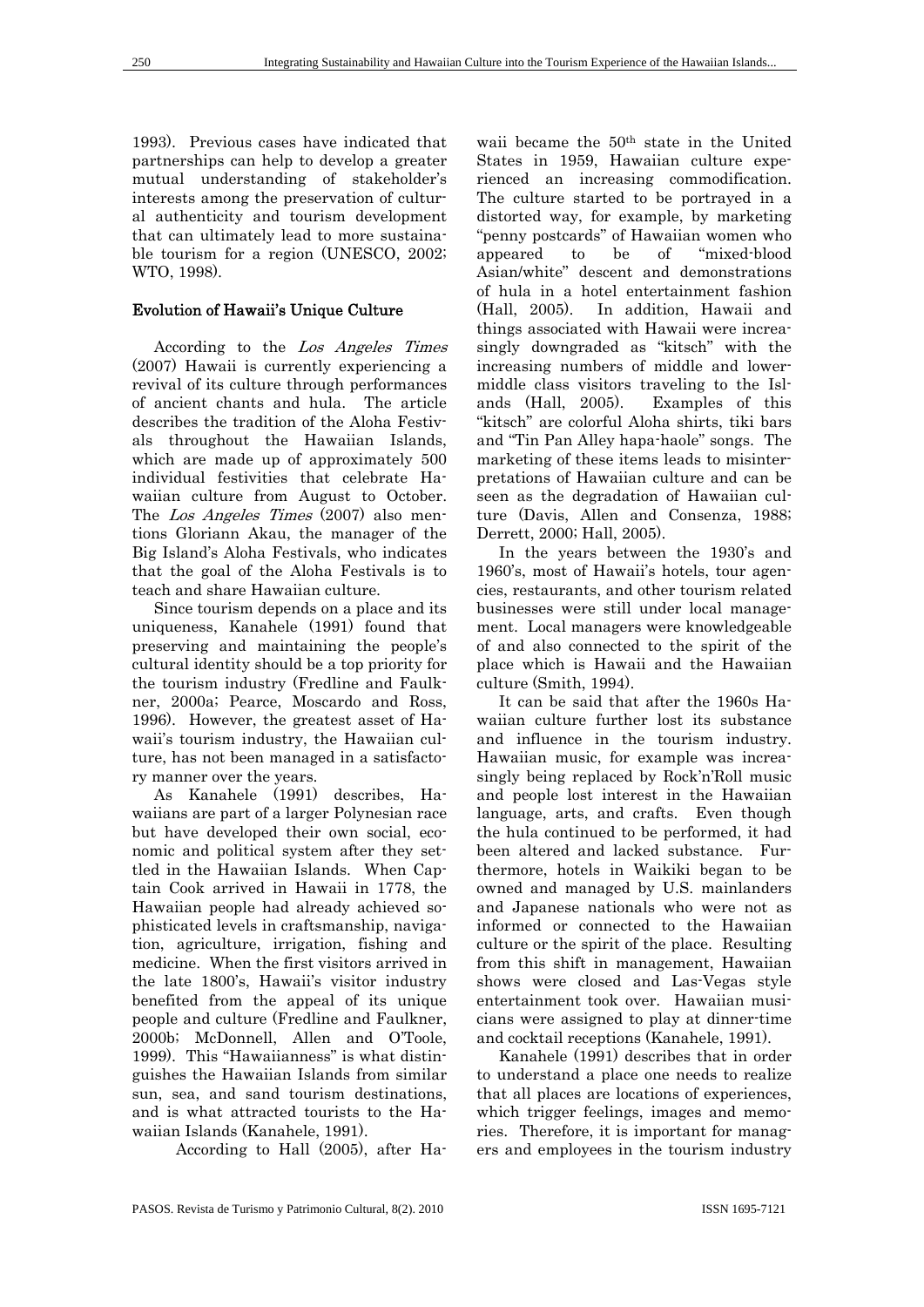1993). Previous cases have indicated that partnerships can help to develop a greater mutual understanding of stakeholder's interests among the preservation of cultural authenticity and tourism development that can ultimately lead to more sustainable tourism for a region (UNESCO, 2002; WTO, 1998).

## Evolution of Hawaii's Unique Culture

According to the Los Angeles Times (2007) Hawaii is currently experiencing a revival of its culture through performances of ancient chants and hula. The article describes the tradition of the Aloha Festivals throughout the Hawaiian Islands, which are made up of approximately 500 individual festivities that celebrate Hawaiian culture from August to October. The *Los Angeles Times* (2007) also mentions Gloriann Akau, the manager of the Big Island's Aloha Festivals, who indicates that the goal of the Aloha Festivals is to teach and share Hawaiian culture.

Since tourism depends on a place and its uniqueness, Kanahele (1991) found that preserving and maintaining the people's cultural identity should be a top priority for the tourism industry (Fredline and Faulkner, 2000a; Pearce, Moscardo and Ross, 1996). However, the greatest asset of Hawaii's tourism industry, the Hawaiian culture, has not been managed in a satisfactory manner over the years.

As Kanahele (1991) describes, Hawaiians are part of a larger Polynesian race but have developed their own social, economic and political system after they settled in the Hawaiian Islands. When Captain Cook arrived in Hawaii in 1778, the Hawaiian people had already achieved sophisticated levels in craftsmanship, navigation, agriculture, irrigation, fishing and medicine. When the first visitors arrived in the late 1800's, Hawaii's visitor industry benefited from the appeal of its unique people and culture (Fredline and Faulkner, 2000b; McDonnell, Allen and O'Toole, 1999). This "Hawaiianness" is what distinguishes the Hawaiian Islands from similar sun, sea, and sand tourism destinations, and is what attracted tourists to the Hawaiian Islands (Kanahele, 1991).

According to Hall (2005), after Ha-

waii became the 50th state in the United States in 1959, Hawaiian culture experienced an increasing commodification. The culture started to be portrayed in a distorted way, for example, by marketing "penny postcards" of Hawaiian women who appeared to be of "mixed-blood Asian/white" descent and demonstrations of hula in a hotel entertainment fashion (Hall, 2005). In addition, Hawaii and things associated with Hawaii were increasingly downgraded as "kitsch" with the increasing numbers of middle and lowermiddle class visitors traveling to the Islands (Hall, 2005). Examples of this "kitsch" are colorful Aloha shirts, tiki bars and "Tin Pan Alley hapa-haole" songs. The marketing of these items leads to misinterpretations of Hawaiian culture and can be seen as the degradation of Hawaiian culture (Davis, Allen and Consenza, 1988; Derrett, 2000; Hall, 2005).

In the years between the 1930's and 1960's, most of Hawaii's hotels, tour agencies, restaurants, and other tourism related businesses were still under local management. Local managers were knowledgeable of and also connected to the spirit of the place which is Hawaii and the Hawaiian culture (Smith, 1994).

It can be said that after the 1960s Hawaiian culture further lost its substance and influence in the tourism industry. Hawaiian music, for example was increasingly being replaced by Rock'n'Roll music and people lost interest in the Hawaiian language, arts, and crafts. Even though the hula continued to be performed, it had been altered and lacked substance. Furthermore, hotels in Waikiki began to be owned and managed by U.S. mainlanders and Japanese nationals who were not as informed or connected to the Hawaiian culture or the spirit of the place. Resulting from this shift in management, Hawaiian shows were closed and Las-Vegas style entertainment took over. Hawaiian musicians were assigned to play at dinner-time and cocktail receptions (Kanahele, 1991).

Kanahele (1991) describes that in order to understand a place one needs to realize that all places are locations of experiences, which trigger feelings, images and memories. Therefore, it is important for managers and employees in the tourism industry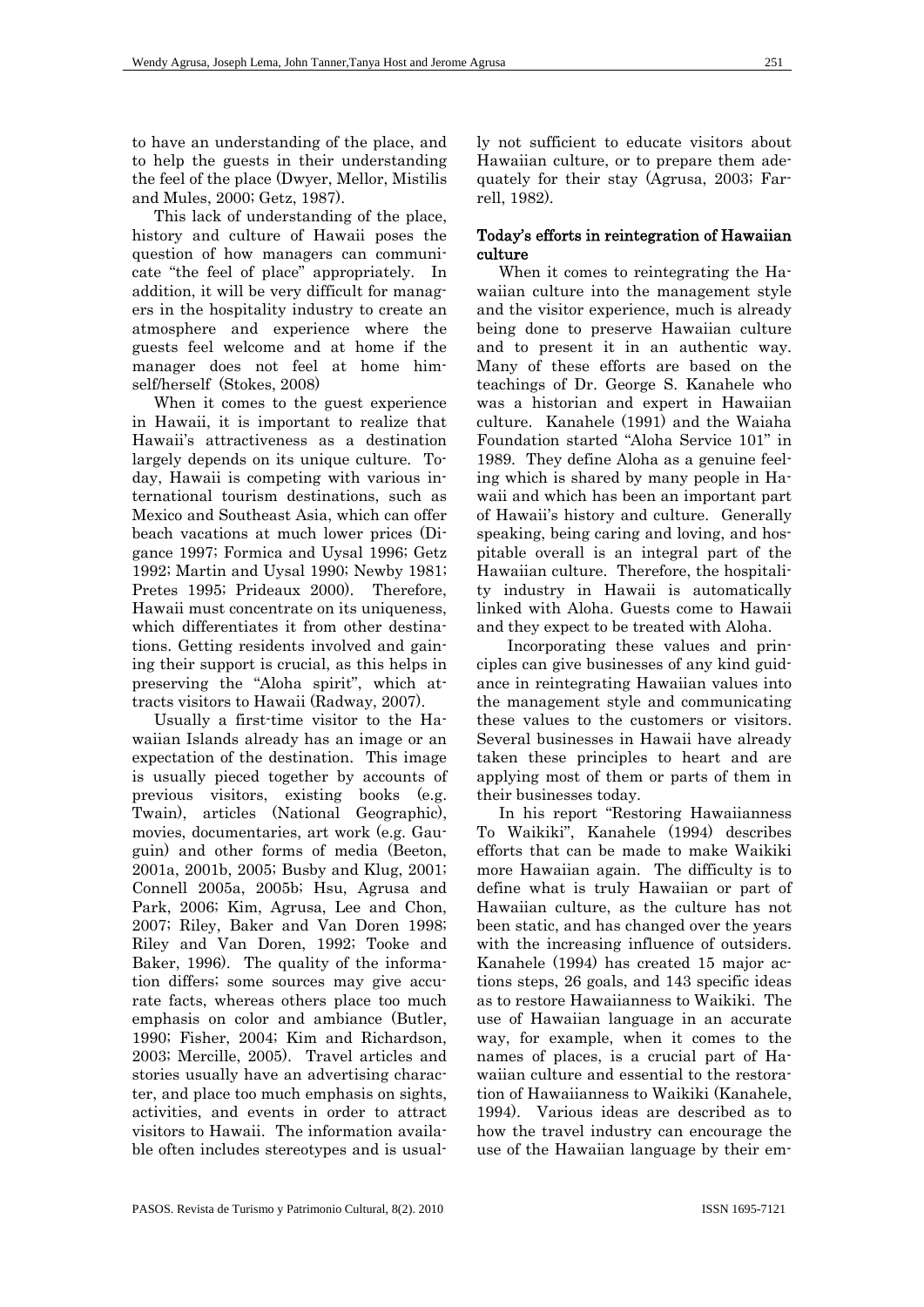to have an understanding of the place, and to help the guests in their understanding the feel of the place (Dwyer, Mellor, Mistilis and Mules, 2000; Getz, 1987).

This lack of understanding of the place, history and culture of Hawaii poses the question of how managers can communicate "the feel of place" appropriately. In addition, it will be very difficult for managers in the hospitality industry to create an atmosphere and experience where the guests feel welcome and at home if the manager does not feel at home himself/herself (Stokes, 2008)

When it comes to the guest experience in Hawaii, it is important to realize that Hawaii's attractiveness as a destination largely depends on its unique culture. Today, Hawaii is competing with various international tourism destinations, such as Mexico and Southeast Asia, which can offer beach vacations at much lower prices (Digance 1997; Formica and Uysal 1996; Getz 1992; Martin and Uysal 1990; Newby 1981; Pretes 1995; Prideaux 2000). Therefore, Hawaii must concentrate on its uniqueness, which differentiates it from other destinations. Getting residents involved and gaining their support is crucial, as this helps in preserving the "Aloha spirit", which attracts visitors to Hawaii (Radway, 2007).

Usually a first-time visitor to the Hawaiian Islands already has an image or an expectation of the destination. This image is usually pieced together by accounts of previous visitors, existing books (e.g. Twain), articles (National Geographic), movies, documentaries, art work (e.g. Gauguin) and other forms of media (Beeton, 2001a, 2001b, 2005; Busby and Klug, 2001; Connell 2005a, 2005b; Hsu, Agrusa and Park, 2006; Kim, Agrusa, Lee and Chon, 2007; Riley, Baker and Van Doren 1998; Riley and Van Doren, 1992; Tooke and Baker, 1996). The quality of the information differs; some sources may give accurate facts, whereas others place too much emphasis on color and ambiance (Butler, 1990; Fisher, 2004; Kim and Richardson, 2003; Mercille, 2005). Travel articles and stories usually have an advertising character, and place too much emphasis on sights, activities, and events in order to attract visitors to Hawaii. The information available often includes stereotypes and is usually not sufficient to educate visitors about Hawaiian culture, or to prepare them adequately for their stay (Agrusa, 2003; Farrell, 1982).

## Today's efforts in reintegration of Hawaiian culture

When it comes to reintegrating the Hawaiian culture into the management style and the visitor experience, much is already being done to preserve Hawaiian culture and to present it in an authentic way. Many of these efforts are based on the teachings of Dr. George S. Kanahele who was a historian and expert in Hawaiian culture. Kanahele (1991) and the Waiaha Foundation started "Aloha Service 101" in 1989. They define Aloha as a genuine feeling which is shared by many people in Hawaii and which has been an important part of Hawaii's history and culture. Generally speaking, being caring and loving, and hospitable overall is an integral part of the Hawaiian culture. Therefore, the hospitality industry in Hawaii is automatically linked with Aloha. Guests come to Hawaii and they expect to be treated with Aloha.

 Incorporating these values and principles can give businesses of any kind guidance in reintegrating Hawaiian values into the management style and communicating these values to the customers or visitors. Several businesses in Hawaii have already taken these principles to heart and are applying most of them or parts of them in their businesses today.

In his report "Restoring Hawaiianness To Waikiki", Kanahele (1994) describes efforts that can be made to make Waikiki more Hawaiian again. The difficulty is to define what is truly Hawaiian or part of Hawaiian culture, as the culture has not been static, and has changed over the years with the increasing influence of outsiders. Kanahele (1994) has created 15 major actions steps, 26 goals, and 143 specific ideas as to restore Hawaiianness to Waikiki. The use of Hawaiian language in an accurate way, for example, when it comes to the names of places, is a crucial part of Hawaiian culture and essential to the restoration of Hawaiianness to Waikiki (Kanahele, 1994). Various ideas are described as to how the travel industry can encourage the use of the Hawaiian language by their em-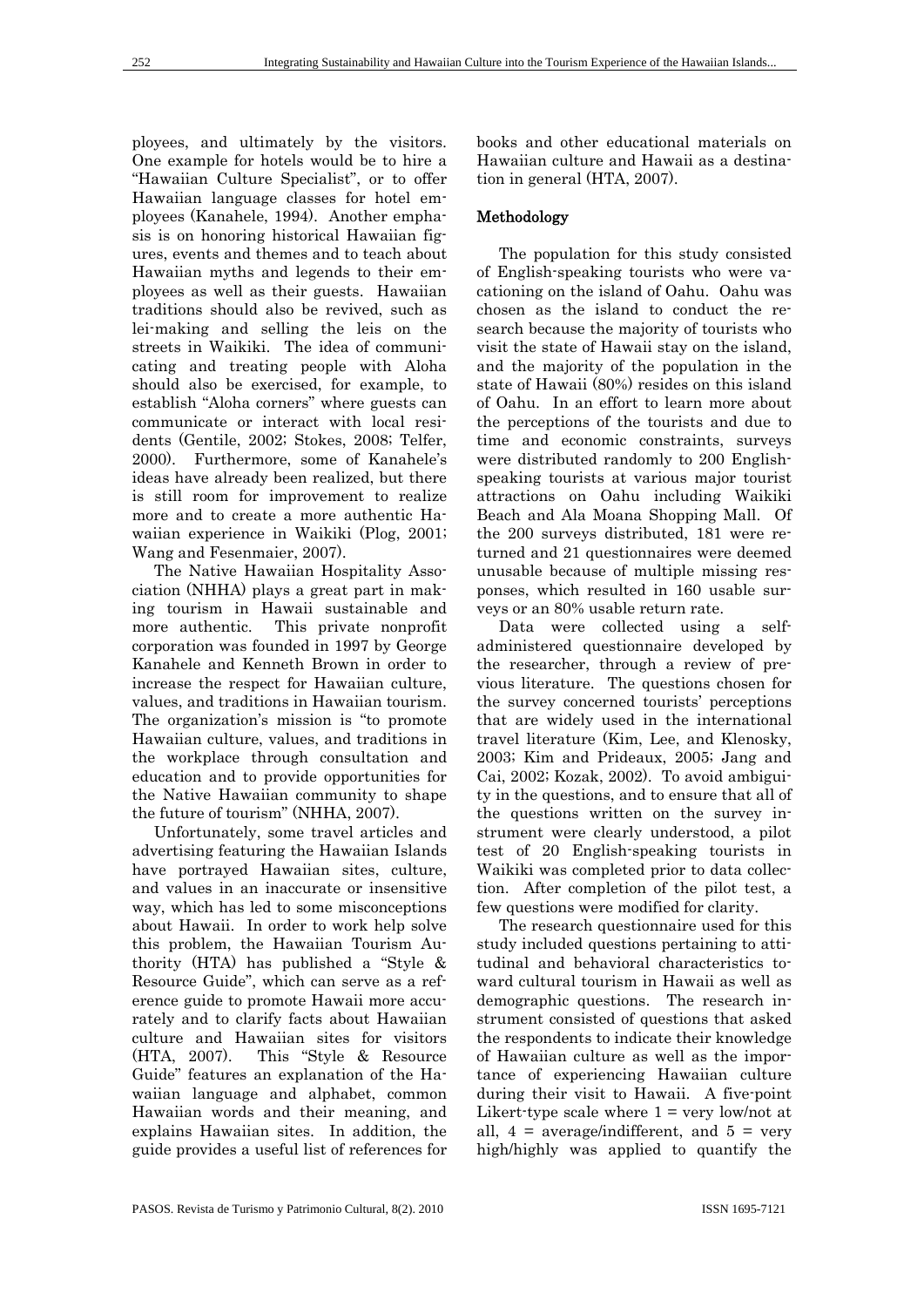ployees, and ultimately by the visitors. One example for hotels would be to hire a "Hawaiian Culture Specialist", or to offer Hawaiian language classes for hotel employees (Kanahele, 1994). Another emphasis is on honoring historical Hawaiian figures, events and themes and to teach about Hawaiian myths and legends to their employees as well as their guests. Hawaiian traditions should also be revived, such as lei-making and selling the leis on the streets in Waikiki. The idea of communicating and treating people with Aloha should also be exercised, for example, to establish "Aloha corners" where guests can communicate or interact with local residents (Gentile, 2002; Stokes, 2008; Telfer, 2000). Furthermore, some of Kanahele's ideas have already been realized, but there is still room for improvement to realize more and to create a more authentic Hawaiian experience in Waikiki (Plog, 2001; Wang and Fesenmaier, 2007).

The Native Hawaiian Hospitality Association (NHHA) plays a great part in making tourism in Hawaii sustainable and more authentic. This private nonprofit corporation was founded in 1997 by George Kanahele and Kenneth Brown in order to increase the respect for Hawaiian culture, values, and traditions in Hawaiian tourism. The organization's mission is "to promote Hawaiian culture, values, and traditions in the workplace through consultation and education and to provide opportunities for the Native Hawaiian community to shape the future of tourism" (NHHA, 2007).

Unfortunately, some travel articles and advertising featuring the Hawaiian Islands have portrayed Hawaiian sites, culture, and values in an inaccurate or insensitive way, which has led to some misconceptions about Hawaii. In order to work help solve this problem, the Hawaiian Tourism Authority (HTA) has published a "Style & Resource Guide", which can serve as a reference guide to promote Hawaii more accurately and to clarify facts about Hawaiian culture and Hawaiian sites for visitors (HTA, 2007). This "Style & Resource Guide" features an explanation of the Hawaiian language and alphabet, common Hawaiian words and their meaning, and explains Hawaiian sites. In addition, the guide provides a useful list of references for books and other educational materials on Hawaiian culture and Hawaii as a destination in general (HTA, 2007).

## Methodology

The population for this study consisted of English-speaking tourists who were vacationing on the island of Oahu. Oahu was chosen as the island to conduct the research because the majority of tourists who visit the state of Hawaii stay on the island, and the majority of the population in the state of Hawaii (80%) resides on this island of Oahu. In an effort to learn more about the perceptions of the tourists and due to time and economic constraints, surveys were distributed randomly to 200 Englishspeaking tourists at various major tourist attractions on Oahu including Waikiki Beach and Ala Moana Shopping Mall. Of the 200 surveys distributed, 181 were returned and 21 questionnaires were deemed unusable because of multiple missing responses, which resulted in 160 usable surveys or an 80% usable return rate.

Data were collected using a selfadministered questionnaire developed by the researcher, through a review of previous literature. The questions chosen for the survey concerned tourists' perceptions that are widely used in the international travel literature (Kim, Lee, and Klenosky, 2003; Kim and Prideaux, 2005; Jang and Cai, 2002; Kozak, 2002). To avoid ambiguity in the questions, and to ensure that all of the questions written on the survey instrument were clearly understood, a pilot test of 20 English-speaking tourists in Waikiki was completed prior to data collection. After completion of the pilot test, a few questions were modified for clarity.

The research questionnaire used for this study included questions pertaining to attitudinal and behavioral characteristics toward cultural tourism in Hawaii as well as demographic questions. The research instrument consisted of questions that asked the respondents to indicate their knowledge of Hawaiian culture as well as the importance of experiencing Hawaiian culture during their visit to Hawaii. A five-point Likert-type scale where  $1 = \text{very low/not at}$ all,  $4 = \text{average/indifferent}$ , and  $5 = \text{very}$ high/highly was applied to quantify the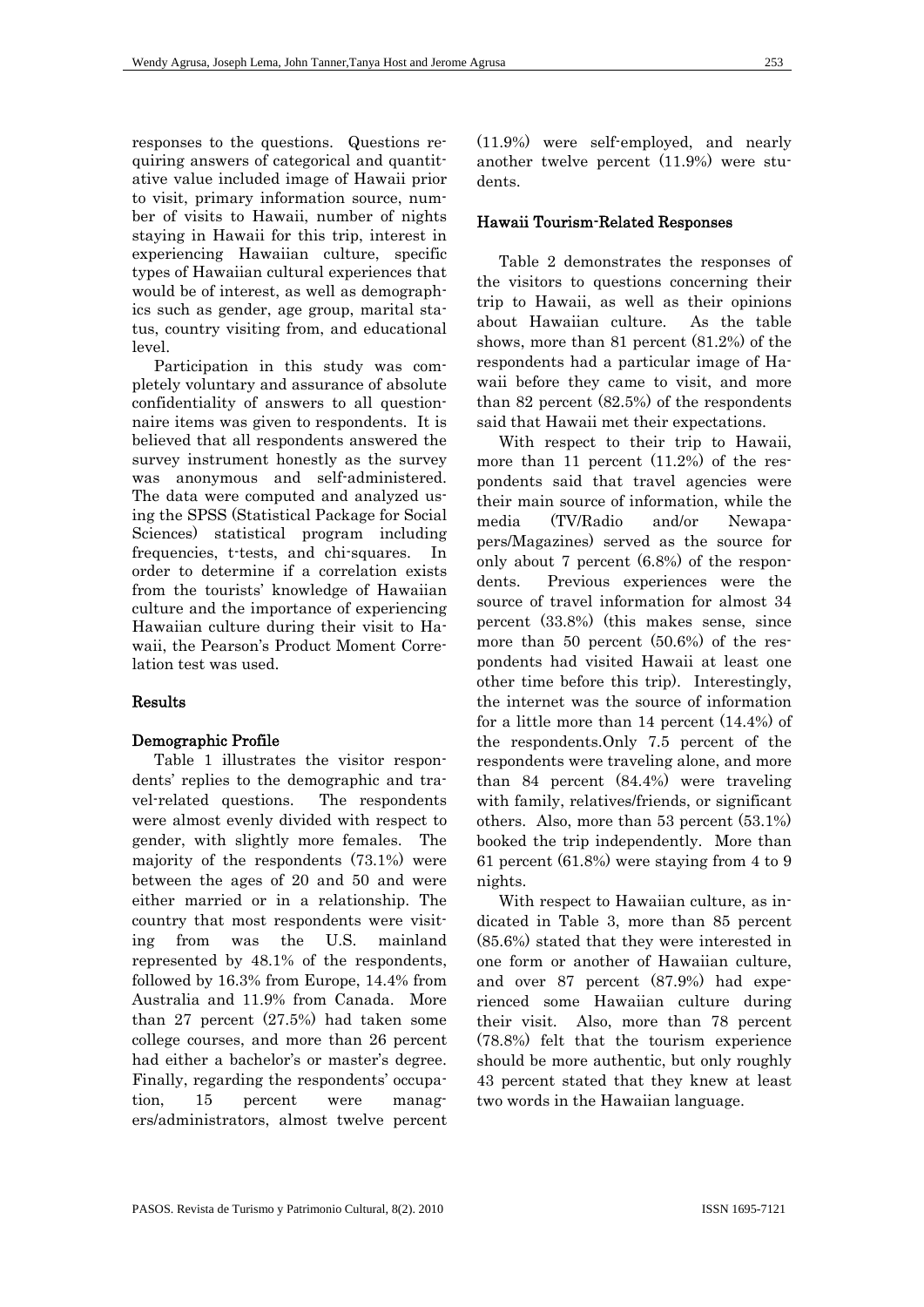responses to the questions. Questions requiring answers of categorical and quantitative value included image of Hawaii prior to visit, primary information source, number of visits to Hawaii, number of nights staying in Hawaii for this trip, interest in experiencing Hawaiian culture, specific types of Hawaiian cultural experiences that would be of interest, as well as demographics such as gender, age group, marital status, country visiting from, and educational level.

Participation in this study was completely voluntary and assurance of absolute confidentiality of answers to all questionnaire items was given to respondents. It is believed that all respondents answered the survey instrument honestly as the survey was anonymous and self-administered. The data were computed and analyzed using the SPSS (Statistical Package for Social Sciences) statistical program including frequencies, t-tests, and chi-squares. In order to determine if a correlation exists from the tourists' knowledge of Hawaiian culture and the importance of experiencing Hawaiian culture during their visit to Hawaii, the Pearson's Product Moment Correlation test was used.

## Results

## Demographic Profile

Table 1 illustrates the visitor respondents' replies to the demographic and travel-related questions. The respondents were almost evenly divided with respect to gender, with slightly more females. The majority of the respondents (73.1%) were between the ages of 20 and 50 and were either married or in a relationship. The country that most respondents were visiting from was the U.S. mainland represented by 48.1% of the respondents, followed by 16.3% from Europe, 14.4% from Australia and 11.9% from Canada. More than 27 percent (27.5%) had taken some college courses, and more than 26 percent had either a bachelor's or master's degree. Finally, regarding the respondents' occupation, 15 percent were managers/administrators, almost twelve percent (11.9%) were self-employed, and nearly another twelve percent (11.9%) were students.

#### Hawaii Tourism-Related Responses

Table 2 demonstrates the responses of the visitors to questions concerning their trip to Hawaii, as well as their opinions about Hawaiian culture. As the table shows, more than 81 percent (81.2%) of the respondents had a particular image of Hawaii before they came to visit, and more than 82 percent (82.5%) of the respondents said that Hawaii met their expectations.

With respect to their trip to Hawaii, more than 11 percent  $(11.2%)$  of the respondents said that travel agencies were their main source of information, while the media (TV/Radio and/or Newapapers/Magazines) served as the source for only about 7 percent (6.8%) of the respondents. Previous experiences were the source of travel information for almost 34 percent (33.8%) (this makes sense, since more than 50 percent (50.6%) of the respondents had visited Hawaii at least one other time before this trip). Interestingly, the internet was the source of information for a little more than 14 percent (14.4%) of the respondents.Only 7.5 percent of the respondents were traveling alone, and more than 84 percent (84.4%) were traveling with family, relatives/friends, or significant others. Also, more than 53 percent (53.1%) booked the trip independently. More than 61 percent (61.8%) were staying from 4 to 9 nights.

With respect to Hawaiian culture, as indicated in Table 3, more than 85 percent (85.6%) stated that they were interested in one form or another of Hawaiian culture, and over 87 percent (87.9%) had experienced some Hawaiian culture during their visit. Also, more than 78 percent (78.8%) felt that the tourism experience should be more authentic, but only roughly 43 percent stated that they knew at least two words in the Hawaiian language.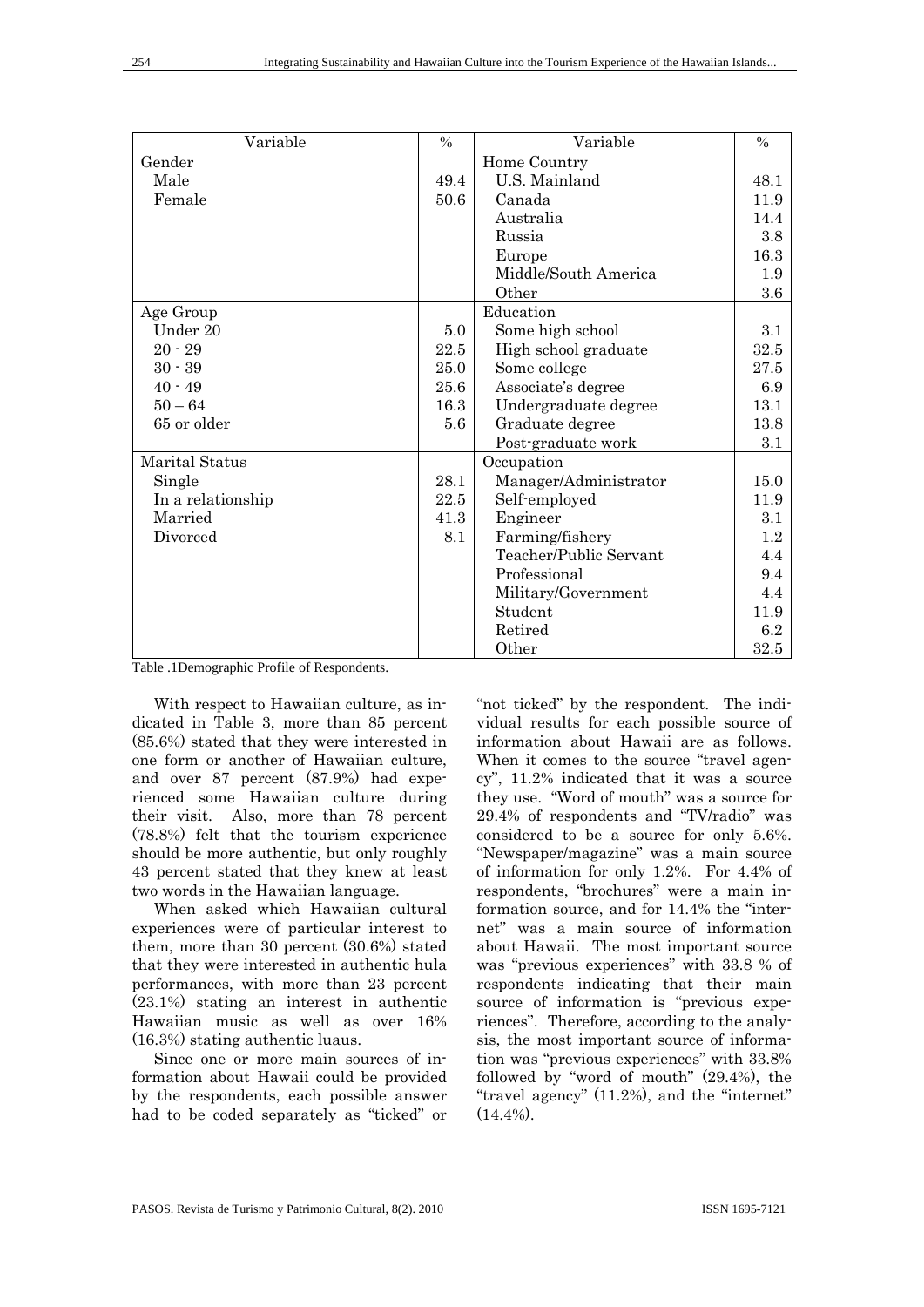| Variable          | $\frac{0}{0}$ | Variable               | $\frac{0}{0}$ |
|-------------------|---------------|------------------------|---------------|
| Gender            |               | Home Country           |               |
| Male              | 49.4          | U.S. Mainland          | 48.1          |
| Female            | 50.6          | Canada                 | 11.9          |
|                   |               | Australia              | 14.4          |
|                   |               | Russia                 | 3.8           |
|                   |               | Europe                 | 16.3          |
|                   |               | Middle/South America   | 1.9           |
|                   |               | Other                  | 3.6           |
| Age Group         |               | Education              |               |
| Under 20          | 5.0           | Some high school       | 3.1           |
| $20 - 29$         | 22.5          | High school graduate   | 32.5          |
| $30 - 39$         | 25.0          | Some college           | 27.5          |
| $40 - 49$         | 25.6          | Associate's degree     | 6.9           |
| $50 - 64$         | 16.3          | Undergraduate degree   | 13.1          |
| 65 or older       | 5.6           | Graduate degree        | 13.8          |
|                   |               | Post-graduate work     | 3.1           |
| Marital Status    |               | Occupation             |               |
| Single            | 28.1          | Manager/Administrator  | 15.0          |
| In a relationship | 22.5          | Self-employed          | 11.9          |
| Married           | 41.3          | Engineer               | 3.1           |
| Divorced          | 8.1           | Farming/fishery        | 1.2           |
|                   |               | Teacher/Public Servant | 4.4           |
|                   |               | Professional           | 9.4           |
|                   |               | Military/Government    | 4.4           |
|                   |               | Student                | 11.9          |
|                   |               | Retired                | 6.2           |
|                   |               | Other                  | 32.5          |

Table .1Demographic Profile of Respondents.

With respect to Hawaiian culture, as indicated in Table 3, more than 85 percent (85.6%) stated that they were interested in one form or another of Hawaiian culture, and over 87 percent (87.9%) had experienced some Hawaiian culture during their visit. Also, more than 78 percent (78.8%) felt that the tourism experience should be more authentic, but only roughly 43 percent stated that they knew at least two words in the Hawaiian language.

When asked which Hawaiian cultural experiences were of particular interest to them, more than 30 percent (30.6%) stated that they were interested in authentic hula performances, with more than 23 percent (23.1%) stating an interest in authentic Hawaiian music as well as over 16% (16.3%) stating authentic luaus.

Since one or more main sources of information about Hawaii could be provided by the respondents, each possible answer had to be coded separately as "ticked" or

"not ticked" by the respondent. The individual results for each possible source of information about Hawaii are as follows. When it comes to the source "travel agency", 11.2% indicated that it was a source they use. "Word of mouth" was a source for 29.4% of respondents and "TV/radio" was considered to be a source for only 5.6%. "Newspaper/magazine" was a main source of information for only 1.2%. For 4.4% of respondents, "brochures" were a main information source, and for 14.4% the "internet" was a main source of information about Hawaii. The most important source was "previous experiences" with 33.8 % of respondents indicating that their main source of information is "previous experiences". Therefore, according to the analysis, the most important source of information was "previous experiences" with 33.8% followed by "word of mouth" (29.4%), the "travel agency" (11.2%), and the "internet"  $(14.4\%)$ .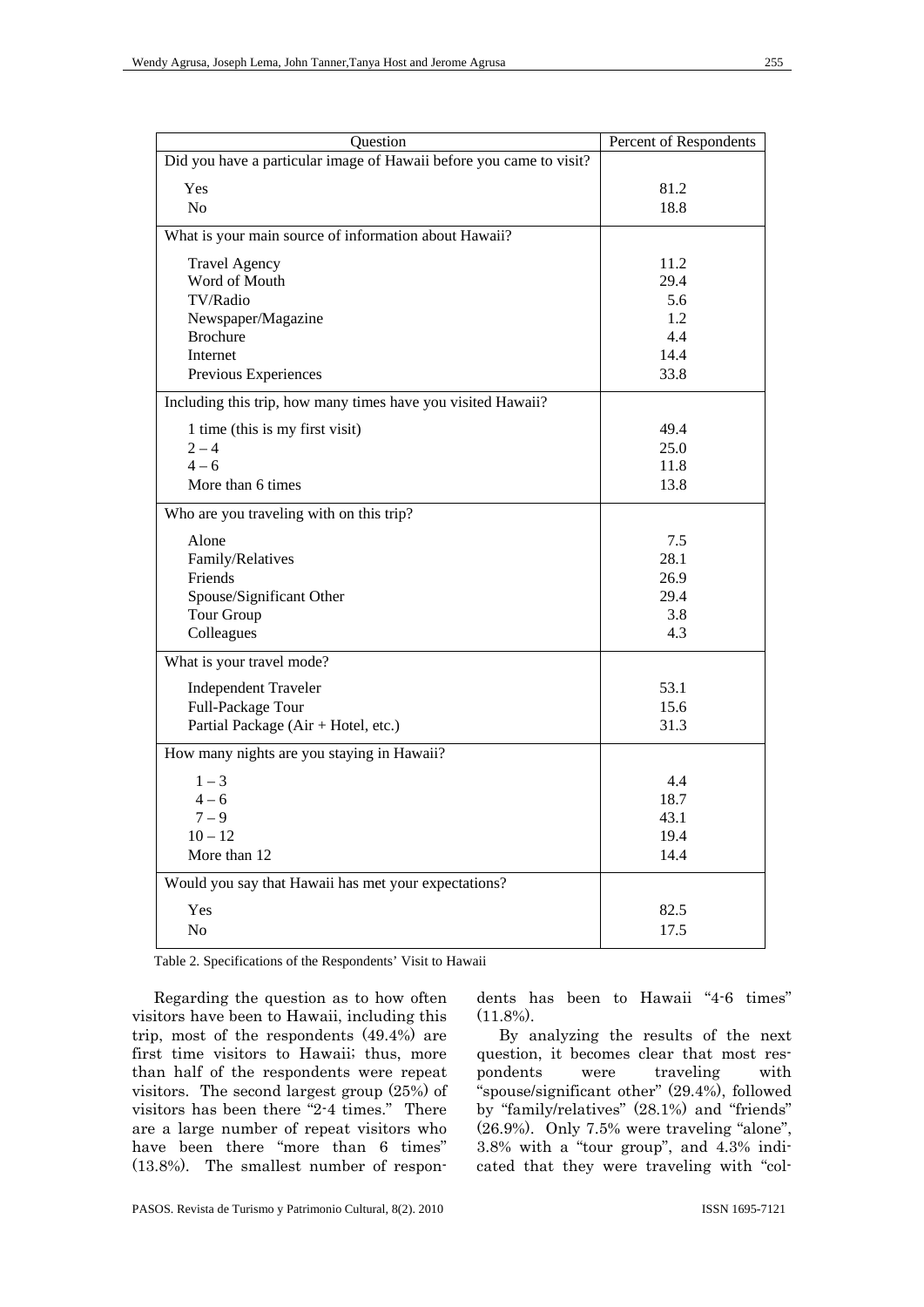| Question                                                            | Percent of Respondents |
|---------------------------------------------------------------------|------------------------|
| Did you have a particular image of Hawaii before you came to visit? |                        |
| Yes                                                                 | 81.2                   |
| N <sub>o</sub>                                                      | 18.8                   |
| What is your main source of information about Hawaii?               |                        |
| <b>Travel Agency</b>                                                | 11.2                   |
| Word of Mouth                                                       | 29.4                   |
| TV/Radio                                                            | 5.6                    |
| Newspaper/Magazine                                                  | 1.2                    |
| <b>Brochure</b>                                                     | 4.4                    |
| Internet                                                            | 14.4                   |
| Previous Experiences                                                | 33.8                   |
| Including this trip, how many times have you visited Hawaii?        |                        |
| 1 time (this is my first visit)                                     | 49.4                   |
| $2 - 4$                                                             | 25.0                   |
| $4 - 6$                                                             | 11.8                   |
| More than 6 times                                                   | 13.8                   |
| Who are you traveling with on this trip?                            |                        |
| Alone                                                               | 7.5                    |
| Family/Relatives                                                    | 28.1                   |
| Friends                                                             | 26.9                   |
| Spouse/Significant Other                                            | 29.4                   |
| Tour Group                                                          | 3.8                    |
| Colleagues                                                          | 4.3                    |
| What is your travel mode?                                           |                        |
| <b>Independent Traveler</b>                                         | 53.1                   |
| Full-Package Tour                                                   | 15.6                   |
| Partial Package (Air + Hotel, etc.)                                 | 31.3                   |
| How many nights are you staying in Hawaii?                          |                        |
| $1 - 3$                                                             | 4.4                    |
| $4 - 6$                                                             | 18.7                   |
| $7 - 9$                                                             | 43.1                   |
| $10 - 12$                                                           | 19.4                   |
| More than 12                                                        | 14.4                   |
| Would you say that Hawaii has met your expectations?                |                        |
| Yes                                                                 | 82.5                   |
| No                                                                  | 17.5                   |

Table 2. Specifications of the Respondents' Visit to Hawaii

Regarding the question as to how often visitors have been to Hawaii, including this trip, most of the respondents (49.4%) are first time visitors to Hawaii; thus, more than half of the respondents were repeat visitors. The second largest group (25%) of visitors has been there "2-4 times." There are a large number of repeat visitors who have been there "more than 6 times" (13.8%). The smallest number of respondents has been to Hawaii "4-6 times"  $(11.8\%)$ .

By analyzing the results of the next question, it becomes clear that most respondents were traveling with "spouse/significant other" (29.4%), followed by "family/relatives" (28.1%) and "friends" (26.9%). Only 7.5% were traveling "alone", 3.8% with a "tour group", and 4.3% indicated that they were traveling with "col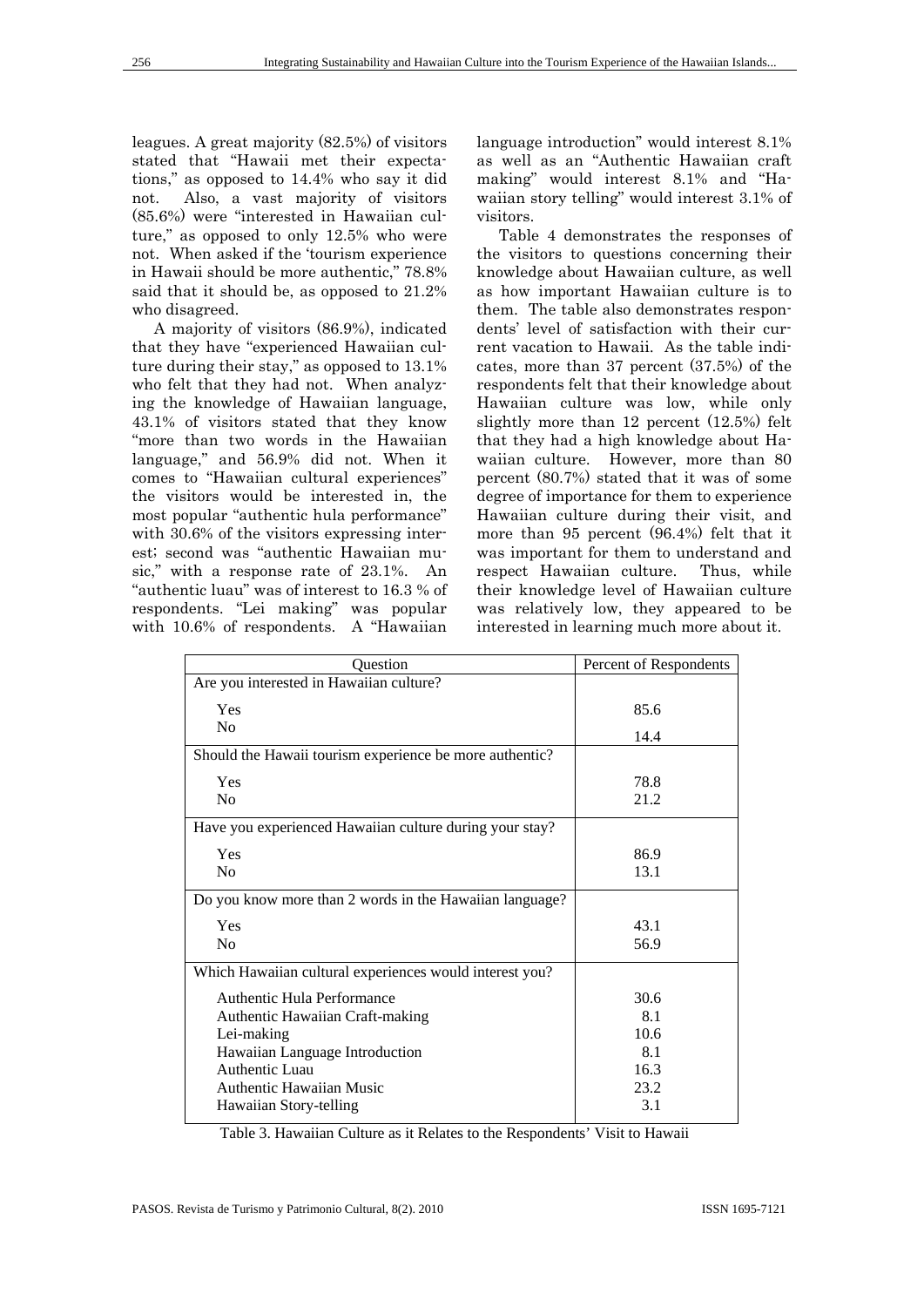leagues. A great majority (82.5%) of visitors stated that "Hawaii met their expectations," as opposed to 14.4% who say it did not. Also, a vast majority of visitors (85.6%) were "interested in Hawaiian culture," as opposed to only 12.5% who were not. When asked if the 'tourism experience in Hawaii should be more authentic," 78.8% said that it should be, as opposed to 21.2% who disagreed.

A majority of visitors (86.9%), indicated that they have "experienced Hawaiian culture during their stay," as opposed to 13.1% who felt that they had not. When analyzing the knowledge of Hawaiian language, 43.1% of visitors stated that they know "more than two words in the Hawaiian language," and 56.9% did not. When it comes to "Hawaiian cultural experiences" the visitors would be interested in, the most popular "authentic hula performance" with  $30.6\%$  of the visitors expressing interest; second was "authentic Hawaiian music," with a response rate of 23.1%. An "authentic luau" was of interest to 16.3 % of respondents. "Lei making" was popular with 10.6% of respondents. A "Hawaiian language introduction" would interest 8.1% as well as an "Authentic Hawaiian craft making" would interest 8.1% and "Hawaiian story telling" would interest 3.1% of visitors.

Table 4 demonstrates the responses of the visitors to questions concerning their knowledge about Hawaiian culture, as well as how important Hawaiian culture is to them. The table also demonstrates respondents' level of satisfaction with their current vacation to Hawaii. As the table indicates, more than 37 percent (37.5%) of the respondents felt that their knowledge about Hawaiian culture was low, while only slightly more than 12 percent (12.5%) felt that they had a high knowledge about Hawaiian culture. However, more than 80 percent (80.7%) stated that it was of some degree of importance for them to experience Hawaiian culture during their visit, and more than 95 percent (96.4%) felt that it was important for them to understand and respect Hawaiian culture. Thus, while their knowledge level of Hawaiian culture was relatively low, they appeared to be interested in learning much more about it.

| Question                                                | Percent of Respondents |
|---------------------------------------------------------|------------------------|
| Are you interested in Hawaiian culture?                 |                        |
| Yes                                                     | 85.6                   |
| N <sub>0</sub>                                          | 14.4                   |
| Should the Hawaii tourism experience be more authentic? |                        |
| Yes                                                     | 78.8                   |
| N <sub>0</sub>                                          | 21.2                   |
| Have you experienced Hawaiian culture during your stay? |                        |
| Yes                                                     | 86.9                   |
| N <sub>0</sub>                                          | 13.1                   |
| Do you know more than 2 words in the Hawaiian language? |                        |
| Yes                                                     | 43.1                   |
| N <sub>0</sub>                                          | 56.9                   |
| Which Hawaiian cultural experiences would interest you? |                        |
| Authentic Hula Performance                              | 30.6                   |
| Authentic Hawaiian Craft-making                         | 8.1                    |
| Lei-making                                              | 10.6                   |
| Hawaiian Language Introduction                          | 8.1                    |
| Authentic Luau                                          | 16.3                   |
| Authentic Hawaiian Music                                | 23.2                   |
| Hawaiian Story-telling                                  | 3.1                    |

Table 3. Hawaiian Culture as it Relates to the Respondents' Visit to Hawaii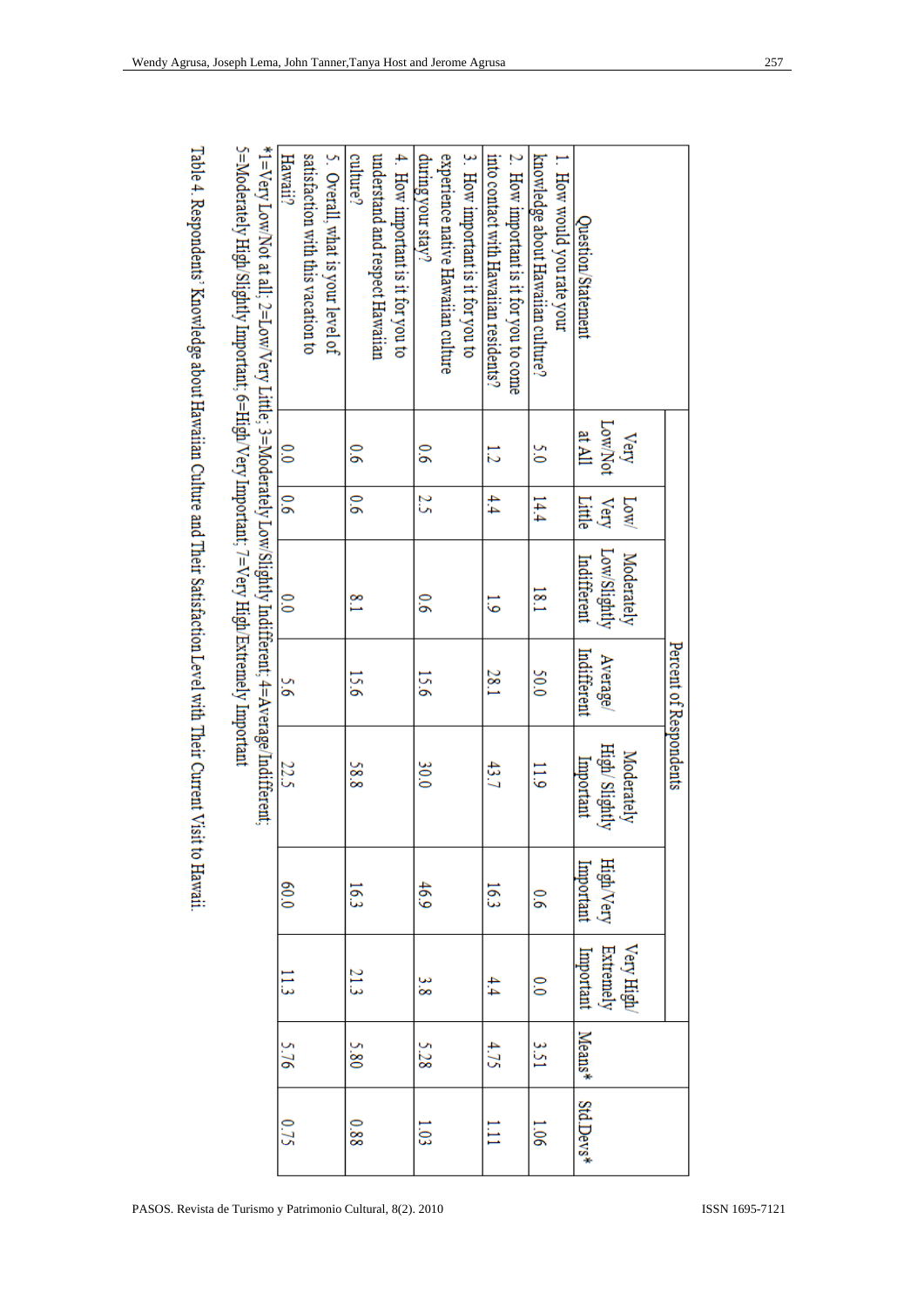|                                                                                                        |                |               |                | Percent of Respondents |                |                  |                            |      |      |
|--------------------------------------------------------------------------------------------------------|----------------|---------------|----------------|------------------------|----------------|------------------|----------------------------|------|------|
|                                                                                                        | Very           | Low           | Moderately     |                        | Moderately     |                  |                            |      |      |
|                                                                                                        | Low/Not        | Very          | Low/Slightly   | Average/               | High/ Slightly | <b>High/Very</b> | Very High<br>Extremely     |      |      |
| Question/Statement                                                                                     | at All         | Little        | Indifferent    | Indifferent            | Important      | Important        | Important Means* Std.Devs' |      |      |
| 1. How would you rate your                                                                             |                |               |                |                        |                |                  |                            |      |      |
| knowledge about Hawaiian culture?                                                                      | š              | 14.4          | 181            | 50.0                   | 511            | $\overline{9}$   | $\frac{1}{2}$              | 1SS  | 1.06 |
| 2. How important is it for you to come                                                                 |                |               |                |                        |                |                  |                            |      |      |
| into contact with Hawaiian residents?                                                                  | 12             | 4.4           | 5              | 28.1                   | 43.7           | 16.3             | 4.4                        | 4.75 | ПII  |
| 3. How important is it for you to                                                                      |                |               |                |                        |                |                  |                            |      |      |
| experience native Hawaiian culture                                                                     |                |               |                |                        |                |                  |                            |      |      |
| during your stay?                                                                                      | $\overline{9}$ | 25            | $\overline{9}$ | 15.6                   | 30.0           | 46.9             | န်                         | 5.28 | 1.03 |
| 4. How important is it for you to                                                                      |                |               |                |                        |                |                  |                            |      |      |
| understand and respect Hawaiian                                                                        |                |               |                |                        |                |                  |                            |      |      |
| culture?                                                                                               | $\tilde{9}$    | $\frac{6}{6}$ | $\frac{8}{1}$  | 15.6                   | 88             | 16.3             | 21.3                       | 5.80 | 880  |
| 5. Overall, what is your level of                                                                      |                |               |                |                        |                |                  |                            |      |      |
| satisfaction with this vacation to                                                                     |                |               |                |                        |                |                  |                            |      |      |
| Hawaii?                                                                                                | 0.0            | 9.6           | $\frac{1}{2}$  | 9.G                    | 22.5           | 0.0              | 11.3                       | 5.76 | 0.75 |
| *1=Very LowNot at all; 2=LowNery Little; 3=Moderately Low/Slightly Indifferent; 4=Average/Indifferent; |                |               |                |                        |                |                  |                            |      |      |
| 5=Moderately High/Slightly Important; 6=High/Very Important; 7=Very High/Extremely Important           |                |               |                |                        |                |                  |                            |      |      |

Table 4. Respondents' Knowledge about Hawaiian Culture and Their Satisfaction Level with Their Current Visit to Hawaii.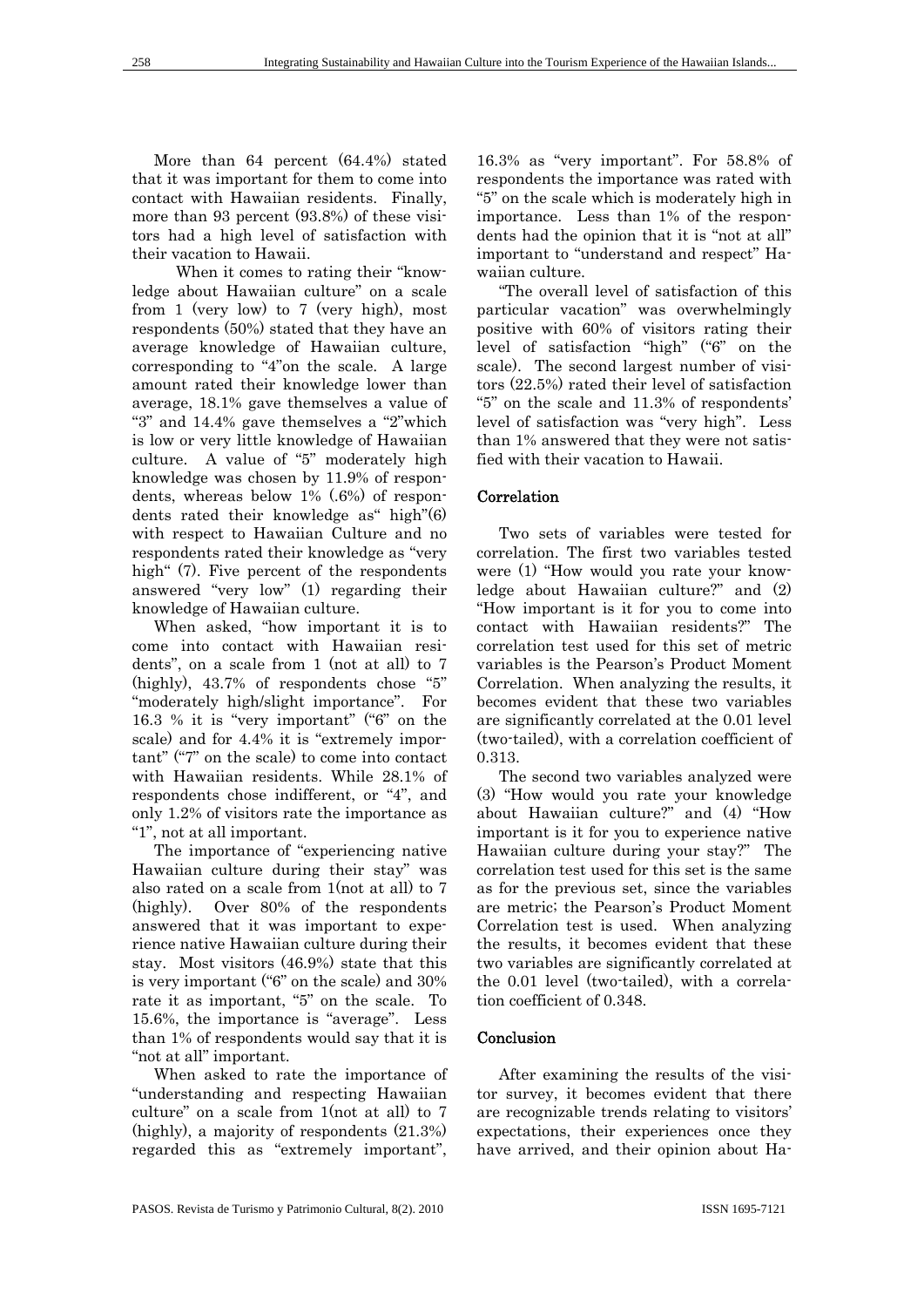More than 64 percent (64.4%) stated that it was important for them to come into contact with Hawaiian residents. Finally, more than 93 percent (93.8%) of these visitors had a high level of satisfaction with their vacation to Hawaii.

 When it comes to rating their "knowledge about Hawaiian culture" on a scale from 1 (very low) to 7 (very high), most respondents (50%) stated that they have an average knowledge of Hawaiian culture, corresponding to "4"on the scale. A large amount rated their knowledge lower than average, 18.1% gave themselves a value of "3" and 14.4% gave themselves a "2"which is low or very little knowledge of Hawaiian culture. A value of "5" moderately high knowledge was chosen by 11.9% of respondents, whereas below 1% (.6%) of respondents rated their knowledge as" high"(6) with respect to Hawaiian Culture and no respondents rated their knowledge as "very high" (7). Five percent of the respondents answered "very low" (1) regarding their knowledge of Hawaiian culture.

When asked, "how important it is to come into contact with Hawaiian residents", on a scale from 1 (not at all) to 7 (highly), 43.7% of respondents chose "5" "moderately high/slight importance". For 16.3 % it is "very important" ("6" on the scale) and for 4.4% it is "extremely important" ("7" on the scale) to come into contact with Hawaiian residents. While 28.1% of respondents chose indifferent, or "4", and only 1.2% of visitors rate the importance as "1", not at all important.

The importance of "experiencing native Hawaiian culture during their stay" was also rated on a scale from 1(not at all) to 7 (highly). Over 80% of the respondents answered that it was important to experience native Hawaiian culture during their stay. Most visitors (46.9%) state that this is very important ("6" on the scale) and 30% rate it as important, "5" on the scale. To 15.6%, the importance is "average". Less than 1% of respondents would say that it is "not at all" important.

When asked to rate the importance of "understanding and respecting Hawaiian culture" on a scale from 1(not at all) to 7 (highly), a majority of respondents (21.3%) regarded this as "extremely important",

16.3% as "very important". For 58.8% of respondents the importance was rated with "5" on the scale which is moderately high in importance. Less than 1% of the respondents had the opinion that it is "not at all" important to "understand and respect" Hawaiian culture.

"The overall level of satisfaction of this particular vacation" was overwhelmingly positive with 60% of visitors rating their level of satisfaction "high" ("6" on the scale). The second largest number of visitors (22.5%) rated their level of satisfaction "5" on the scale and 11.3% of respondents' level of satisfaction was "very high". Less than 1% answered that they were not satisfied with their vacation to Hawaii.

#### Correlation

Two sets of variables were tested for correlation. The first two variables tested were (1) "How would you rate your knowledge about Hawaiian culture?" and (2) "How important is it for you to come into contact with Hawaiian residents?" The correlation test used for this set of metric variables is the Pearson's Product Moment Correlation. When analyzing the results, it becomes evident that these two variables are significantly correlated at the 0.01 level (two-tailed), with a correlation coefficient of 0.313.

The second two variables analyzed were (3) "How would you rate your knowledge about Hawaiian culture?" and (4) "How important is it for you to experience native Hawaiian culture during your stay?" The correlation test used for this set is the same as for the previous set, since the variables are metric; the Pearson's Product Moment Correlation test is used. When analyzing the results, it becomes evident that these two variables are significantly correlated at the 0.01 level (two-tailed), with a correlation coefficient of 0.348.

#### **Conclusion**

After examining the results of the visitor survey, it becomes evident that there are recognizable trends relating to visitors' expectations, their experiences once they have arrived, and their opinion about Ha-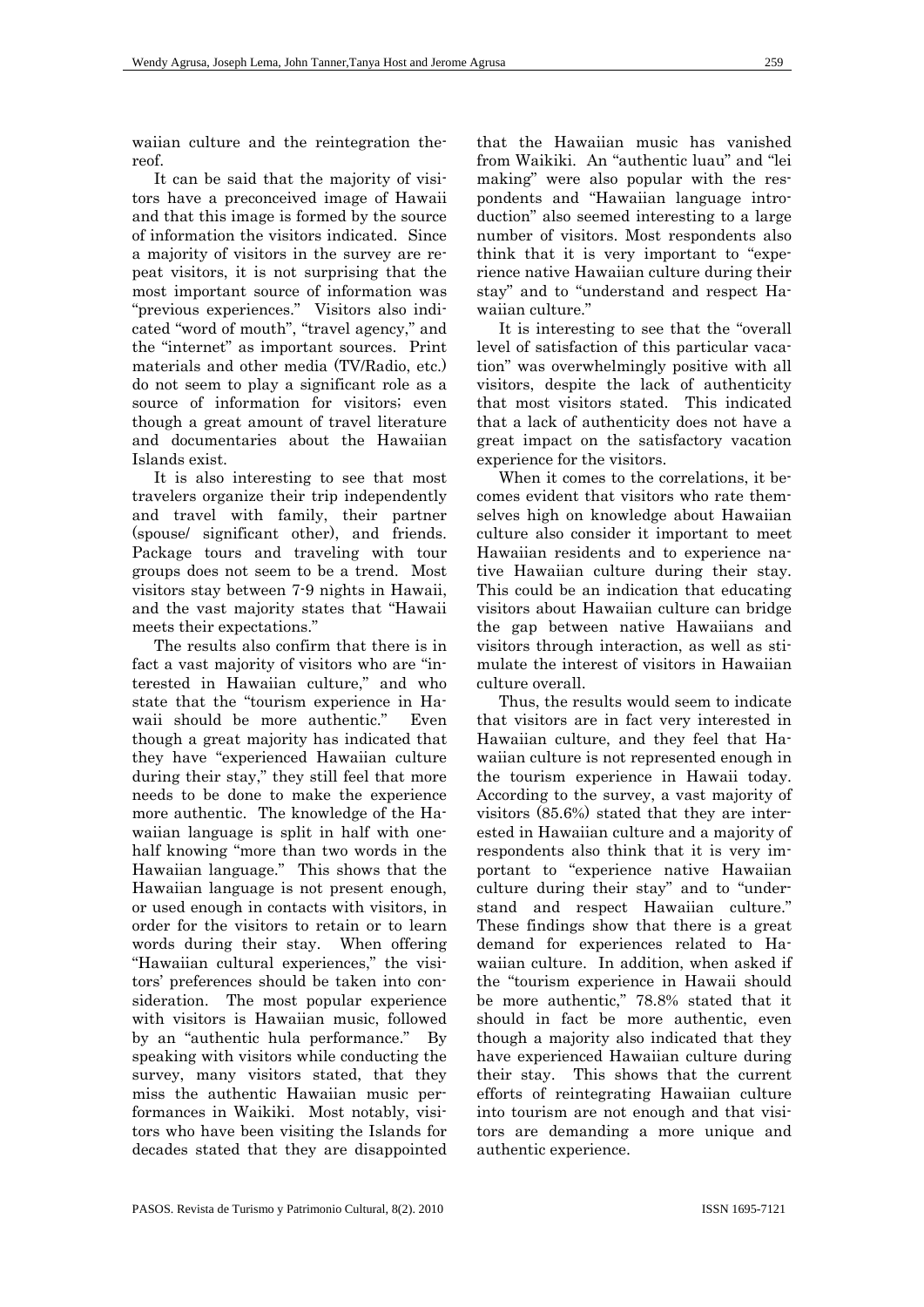waiian culture and the reintegration thereof.

It can be said that the majority of visitors have a preconceived image of Hawaii and that this image is formed by the source of information the visitors indicated. Since a majority of visitors in the survey are repeat visitors, it is not surprising that the most important source of information was "previous experiences." Visitors also indicated "word of mouth", "travel agency," and the "internet" as important sources. Print materials and other media (TV/Radio, etc.) do not seem to play a significant role as a source of information for visitors; even though a great amount of travel literature and documentaries about the Hawaiian Islands exist.

It is also interesting to see that most travelers organize their trip independently and travel with family, their partner (spouse/ significant other), and friends. Package tours and traveling with tour groups does not seem to be a trend. Most visitors stay between 7-9 nights in Hawaii, and the vast majority states that "Hawaii meets their expectations."

The results also confirm that there is in fact a vast majority of visitors who are "interested in Hawaiian culture," and who state that the "tourism experience in Hawaii should be more authentic." Even though a great majority has indicated that they have "experienced Hawaiian culture during their stay," they still feel that more needs to be done to make the experience more authentic. The knowledge of the Hawaiian language is split in half with onehalf knowing "more than two words in the Hawaiian language." This shows that the Hawaiian language is not present enough, or used enough in contacts with visitors, in order for the visitors to retain or to learn words during their stay. When offering "Hawaiian cultural experiences," the visitors' preferences should be taken into consideration. The most popular experience with visitors is Hawaiian music, followed by an "authentic hula performance." By speaking with visitors while conducting the survey, many visitors stated, that they miss the authentic Hawaiian music performances in Waikiki. Most notably, visitors who have been visiting the Islands for decades stated that they are disappointed

that the Hawaiian music has vanished from Waikiki. An "authentic luau" and "lei making" were also popular with the respondents and "Hawaiian language introduction" also seemed interesting to a large number of visitors. Most respondents also think that it is very important to "experience native Hawaiian culture during their stay" and to "understand and respect Hawaiian culture."

It is interesting to see that the "overall level of satisfaction of this particular vacation" was overwhelmingly positive with all visitors, despite the lack of authenticity that most visitors stated. This indicated that a lack of authenticity does not have a great impact on the satisfactory vacation experience for the visitors.

When it comes to the correlations, it becomes evident that visitors who rate themselves high on knowledge about Hawaiian culture also consider it important to meet Hawaiian residents and to experience native Hawaiian culture during their stay. This could be an indication that educating visitors about Hawaiian culture can bridge the gap between native Hawaiians and visitors through interaction, as well as stimulate the interest of visitors in Hawaiian culture overall.

Thus, the results would seem to indicate that visitors are in fact very interested in Hawaiian culture, and they feel that Hawaiian culture is not represented enough in the tourism experience in Hawaii today. According to the survey, a vast majority of visitors (85.6%) stated that they are interested in Hawaiian culture and a majority of respondents also think that it is very important to "experience native Hawaiian culture during their stay" and to "understand and respect Hawaiian culture." These findings show that there is a great demand for experiences related to Hawaiian culture. In addition, when asked if the "tourism experience in Hawaii should be more authentic," 78.8% stated that it should in fact be more authentic, even though a majority also indicated that they have experienced Hawaiian culture during their stay. This shows that the current efforts of reintegrating Hawaiian culture into tourism are not enough and that visitors are demanding a more unique and authentic experience.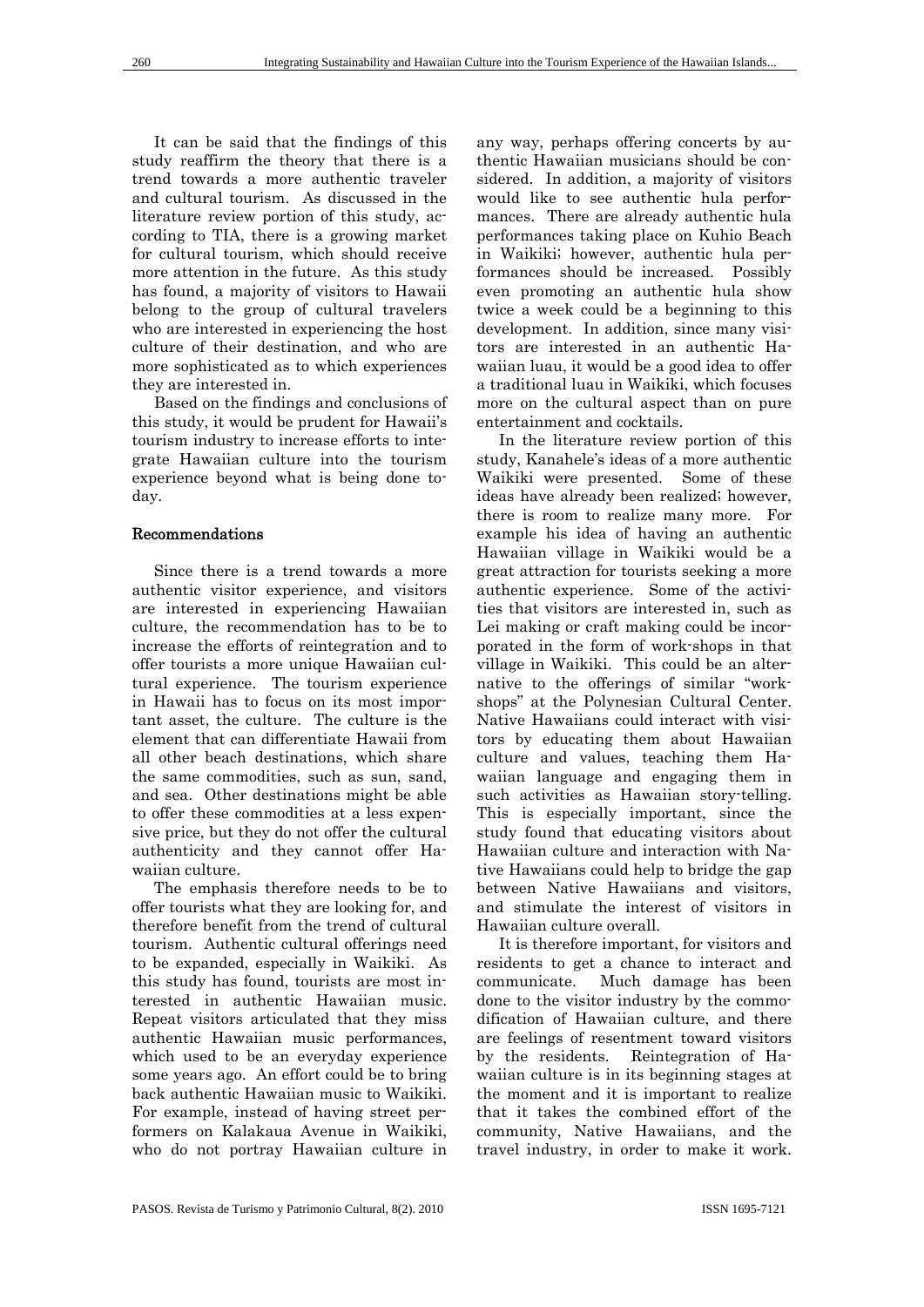It can be said that the findings of this study reaffirm the theory that there is a trend towards a more authentic traveler and cultural tourism. As discussed in the literature review portion of this study, according to TIA, there is a growing market for cultural tourism, which should receive more attention in the future. As this study has found, a majority of visitors to Hawaii belong to the group of cultural travelers who are interested in experiencing the host culture of their destination, and who are more sophisticated as to which experiences they are interested in.

Based on the findings and conclusions of this study, it would be prudent for Hawaii's tourism industry to increase efforts to integrate Hawaiian culture into the tourism experience beyond what is being done today.

#### Recommendations

Since there is a trend towards a more authentic visitor experience, and visitors are interested in experiencing Hawaiian culture, the recommendation has to be to increase the efforts of reintegration and to offer tourists a more unique Hawaiian cultural experience. The tourism experience in Hawaii has to focus on its most important asset, the culture. The culture is the element that can differentiate Hawaii from all other beach destinations, which share the same commodities, such as sun, sand, and sea. Other destinations might be able to offer these commodities at a less expensive price, but they do not offer the cultural authenticity and they cannot offer Hawaiian culture.

The emphasis therefore needs to be to offer tourists what they are looking for, and therefore benefit from the trend of cultural tourism. Authentic cultural offerings need to be expanded, especially in Waikiki. As this study has found, tourists are most interested in authentic Hawaiian music. Repeat visitors articulated that they miss authentic Hawaiian music performances, which used to be an everyday experience some years ago. An effort could be to bring back authentic Hawaiian music to Waikiki. For example, instead of having street performers on Kalakaua Avenue in Waikiki, who do not portray Hawaiian culture in

any way, perhaps offering concerts by authentic Hawaiian musicians should be considered. In addition, a majority of visitors would like to see authentic hula performances. There are already authentic hula performances taking place on Kuhio Beach in Waikiki; however, authentic hula performances should be increased. Possibly even promoting an authentic hula show twice a week could be a beginning to this development. In addition, since many visitors are interested in an authentic Hawaiian luau, it would be a good idea to offer a traditional luau in Waikiki, which focuses more on the cultural aspect than on pure entertainment and cocktails.

In the literature review portion of this study, Kanahele's ideas of a more authentic Waikiki were presented. Some of these ideas have already been realized; however, there is room to realize many more. For example his idea of having an authentic Hawaiian village in Waikiki would be a great attraction for tourists seeking a more authentic experience. Some of the activities that visitors are interested in, such as Lei making or craft making could be incorporated in the form of work-shops in that village in Waikiki. This could be an alternative to the offerings of similar "workshops" at the Polynesian Cultural Center. Native Hawaiians could interact with visitors by educating them about Hawaiian culture and values, teaching them Hawaiian language and engaging them in such activities as Hawaiian story-telling. This is especially important, since the study found that educating visitors about Hawaiian culture and interaction with Native Hawaiians could help to bridge the gap between Native Hawaiians and visitors, and stimulate the interest of visitors in Hawaiian culture overall.

It is therefore important, for visitors and residents to get a chance to interact and communicate. Much damage has been done to the visitor industry by the commodification of Hawaiian culture, and there are feelings of resentment toward visitors by the residents. Reintegration of Hawaiian culture is in its beginning stages at the moment and it is important to realize that it takes the combined effort of the community, Native Hawaiians, and the travel industry, in order to make it work.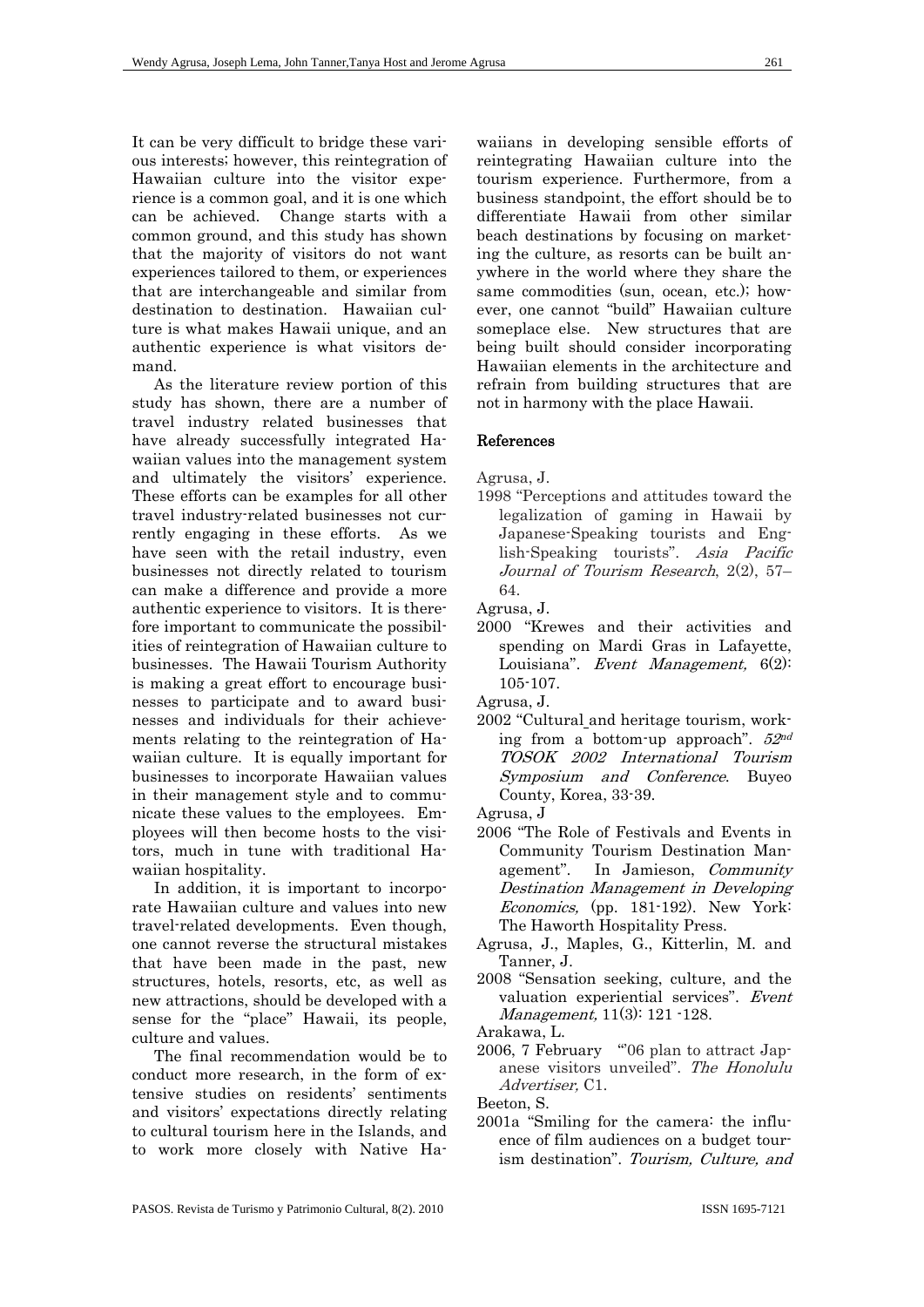It can be very difficult to bridge these various interests; however, this reintegration of Hawaiian culture into the visitor experience is a common goal, and it is one which can be achieved. Change starts with a common ground, and this study has shown that the majority of visitors do not want experiences tailored to them, or experiences that are interchangeable and similar from destination to destination. Hawaiian culture is what makes Hawaii unique, and an authentic experience is what visitors demand.

As the literature review portion of this study has shown, there are a number of travel industry related businesses that have already successfully integrated Hawaiian values into the management system and ultimately the visitors' experience. These efforts can be examples for all other travel industry-related businesses not currently engaging in these efforts. As we have seen with the retail industry, even businesses not directly related to tourism can make a difference and provide a more authentic experience to visitors. It is therefore important to communicate the possibilities of reintegration of Hawaiian culture to businesses. The Hawaii Tourism Authority is making a great effort to encourage businesses to participate and to award businesses and individuals for their achievements relating to the reintegration of Hawaiian culture. It is equally important for businesses to incorporate Hawaiian values in their management style and to communicate these values to the employees. Employees will then become hosts to the visitors, much in tune with traditional Hawaiian hospitality.

In addition, it is important to incorporate Hawaiian culture and values into new travel-related developments. Even though, one cannot reverse the structural mistakes that have been made in the past, new structures, hotels, resorts, etc, as well as new attractions, should be developed with a sense for the "place" Hawaii, its people, culture and values.

The final recommendation would be to conduct more research, in the form of extensive studies on residents' sentiments and visitors' expectations directly relating to cultural tourism here in the Islands, and to work more closely with Native Ha-

waiians in developing sensible efforts of reintegrating Hawaiian culture into the tourism experience. Furthermore, from a business standpoint, the effort should be to differentiate Hawaii from other similar beach destinations by focusing on marketing the culture, as resorts can be built anywhere in the world where they share the same commodities (sun, ocean, etc.); however, one cannot "build" Hawaiian culture someplace else. New structures that are being built should consider incorporating Hawaiian elements in the architecture and refrain from building structures that are not in harmony with the place Hawaii.

#### References

Agrusa, J.

1998 "Perceptions and attitudes toward the legalization of gaming in Hawaii by Japanese-Speaking tourists and English-Speaking tourists". Asia Pacific Journal of Tourism Research, 2(2), 57– 64.

Agrusa, J.

- 2000 "Krewes and their activities and spending on Mardi Gras in Lafayette, Louisiana". Event Management, 6(2): 105-107.
- Agrusa, J.
- 2002 "Cultural and heritage tourism, working from a bottom-up approach".  $52^{nd}$ TOSOK 2002 International Tourism Symposium and Conference. Buyeo County, Korea, 33-39.
- Agrusa, J
- 2006 "The Role of Festivals and Events in Community Tourism Destination Management". In Jamieson, Community Destination Management in Developing Economics, (pp. 181-192). New York: The Haworth Hospitality Press.
- Agrusa, J., Maples, G., Kitterlin, M. and Tanner, J.
- 2008 "Sensation seeking, culture, and the valuation experiential services". Event Management, 11(3): 121 -128.
- Arakawa, L.
- 2006, 7 February "06 plan to attract Japanese visitors unveiled". The Honolulu Advertiser, C1.

Beeton, S.

2001a "Smiling for the camera: the influence of film audiences on a budget tourism destination". Tourism, Culture, and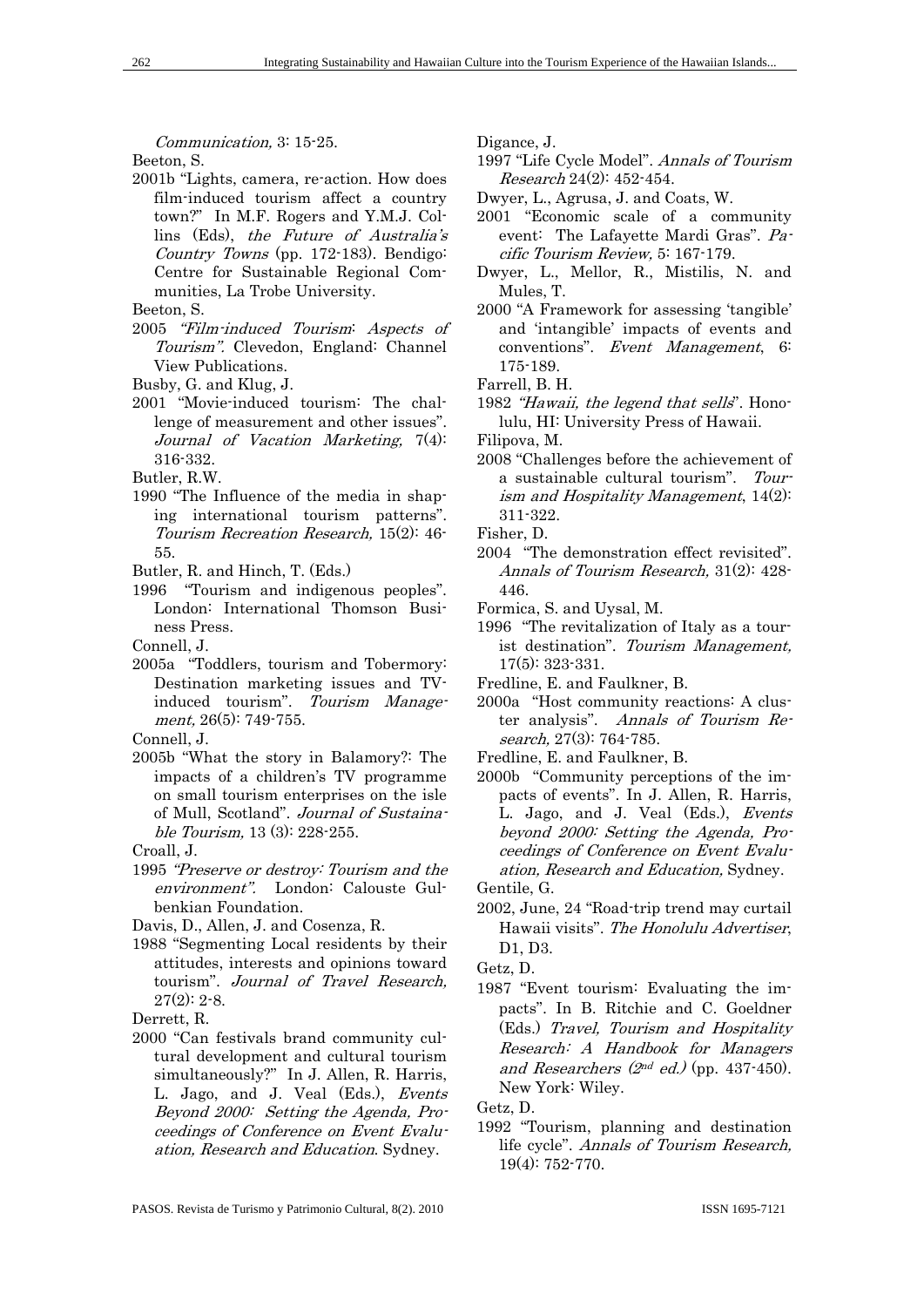Communication, 3: 15-25.

Beeton, S.

2001b "Lights, camera, re-action. How does film-induced tourism affect a country town?" In M.F. Rogers and Y.M.J. Collins (Eds), the Future of Australia's Country Towns (pp. 172-183). Bendigo: Centre for Sustainable Regional Communities, La Trobe University.

Beeton, S.

- 2005 "Film-induced Tourism: Aspects of Tourism". Clevedon, England: Channel View Publications.
- Busby, G. and Klug, J.
- 2001 "Movie-induced tourism: The challenge of measurement and other issues". Journal of Vacation Marketing, 7(4): 316-332.

Butler, R.W.

- 1990 "The Influence of the media in shaping international tourism patterns". Tourism Recreation Research, 15(2): 46- 55.
- Butler, R. and Hinch, T. (Eds.)
- 1996 "Tourism and indigenous peoples". London: International Thomson Business Press.

Connell, J.

2005a "Toddlers, tourism and Tobermory: Destination marketing issues and TVinduced tourism". Tourism Management, 26(5): 749-755.

Connell, J.

2005b "What the story in Balamory?: The impacts of a children's TV programme on small tourism enterprises on the isle of Mull, Scotland". Journal of Sustainable Tourism, 13 (3): 228-255.

Croall, J.

1995 "Preserve or destroy: Tourism and the environment". London: Calouste Gulbenkian Foundation.

Davis, D., Allen, J. and Cosenza, R.

1988 "Segmenting Local residents by their attitudes, interests and opinions toward tourism". Journal of Travel Research,  $27(2): 2-8.$ 

Derrett, R.

2000 "Can festivals brand community cultural development and cultural tourism simultaneously?" In J. Allen, R. Harris, L. Jago, and J. Veal (Eds.), Events Beyond 2000: Setting the Agenda, Proceedings of Conference on Event Evaluation, Research and Education. Sydney.

Digance, J.

1997 "Life Cycle Model". Annals of Tourism Research 24(2): 452-454.

Dwyer, L., Agrusa, J. and Coats, W.

- 2001 "Economic scale of a community event: The Lafayette Mardi Gras". Pacific Tourism Review, 5: 167-179.
- Dwyer, L., Mellor, R., Mistilis, N. and Mules, T.
- 2000 "A Framework for assessing 'tangible' and 'intangible' impacts of events and conventions". Event Management, 6: 175-189.

Farrell, B. H.

- 1982 "Hawaii, the legend that sells". Honolulu, HI: University Press of Hawaii.
- Filipova, M.
- 2008 "Challenges before the achievement of a sustainable cultural tourism". Tourism and Hospitality Management, 14(2): 311-322.

Fisher, D.

- 2004 "The demonstration effect revisited". Annals of Tourism Research, 31(2): 428- 446.
- Formica, S. and Uysal, M.
- 1996 "The revitalization of Italy as a tourist destination". Tourism Management, 17(5): 323-331.
- Fredline, E. and Faulkner, B.
- 2000a "Host community reactions: A cluster analysis". Annals of Tourism Research, 27(3): 764-785.
- Fredline, E. and Faulkner, B.
- 2000b "Community perceptions of the impacts of events". In J. Allen, R. Harris, L. Jago, and J. Veal (Eds.), Events beyond 2000: Setting the Agenda, Proceedings of Conference on Event Evaluation, Research and Education, Sydney. Gentile, G.

2002, June, 24 "Road-trip trend may curtail Hawaii visits". The Honolulu Advertiser, D1, D3.

Getz, D.

1987 "Event tourism: Evaluating the impacts". In B. Ritchie and C. Goeldner (Eds.) Travel, Tourism and Hospitality Research: A Handbook for Managers and Researchers ( $2<sup>nd</sup>$  ed.) (pp. 437-450). New York: Wiley.

Getz, D.

1992 "Tourism, planning and destination life cycle". Annals of Tourism Research, 19(4): 752-770.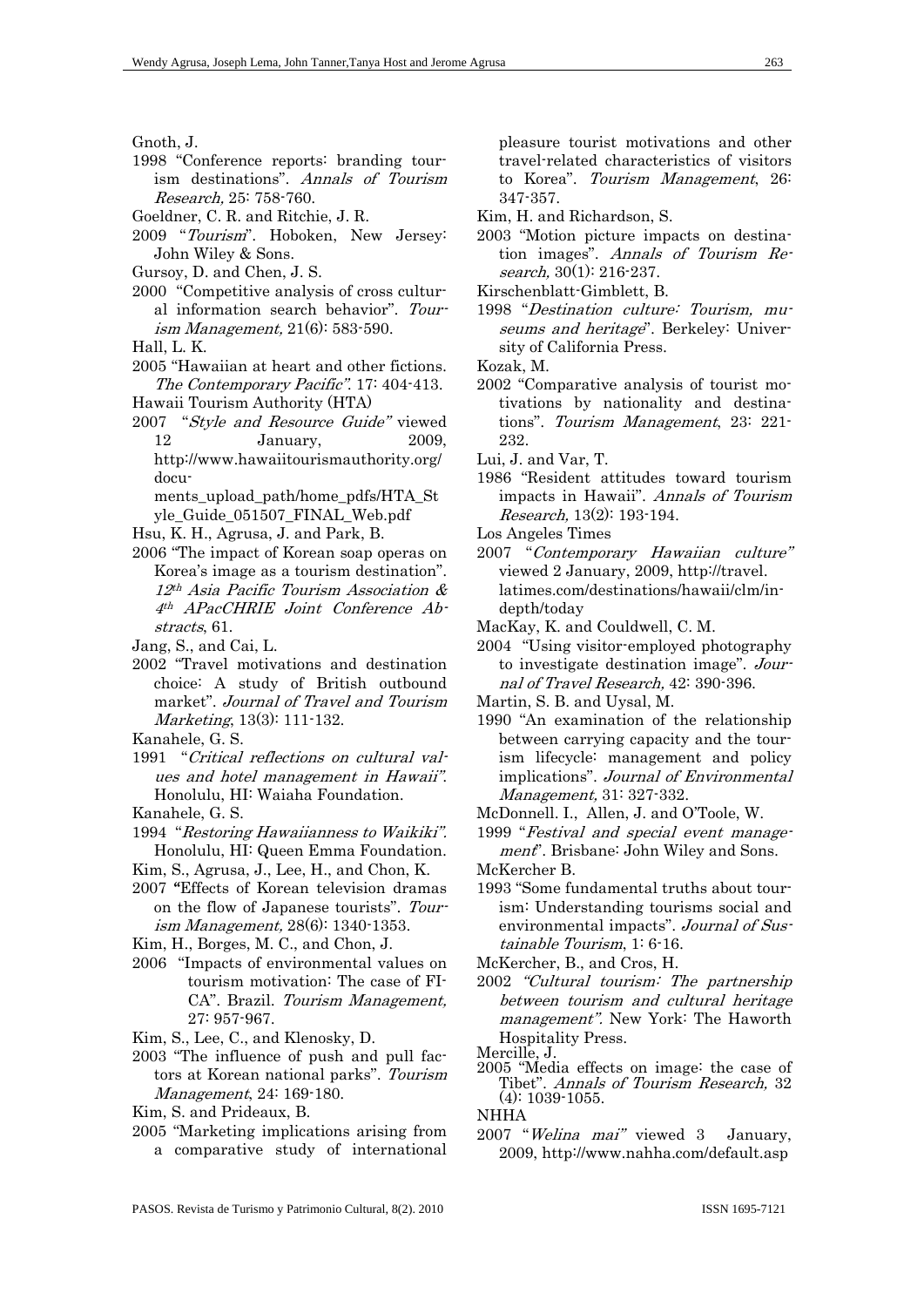Gnoth, J.

- 1998 "Conference reports: branding tourism destinations". Annals of Tourism Research, 25: 758-760.
- Goeldner, C. R. and Ritchie, J. R.
- 2009 "Tourism". Hoboken, New Jersey: John Wiley & Sons.
- Gursoy, D. and Chen, J. S.
- 2000 "Competitive analysis of cross cultural information search behavior". Tourism Management, 21(6): 583-590.
- Hall, L. K.
- 2005 "Hawaiian at heart and other fictions. The Contemporary Pacific". 17: 404-413.
- Hawaii Tourism Authority (HTA)
- 2007 "Style and Resource Guide" viewed 12 January, 2009, http://www.hawaiitourismauthority.org/

 documents upload path/home pdfs/HTA St yle Guide 051507 FINAL Web.pdf

- Hsu, K. H., Agrusa, J. and Park, B.
- 2006 "The impact of Korean soap operas on Korea's image as a tourism destination". 12th Asia Pacific Tourism Association & 4th APacCHRIE Joint Conference Abstracts, 61.
- Jang, S., and Cai, L.
- 2002 "Travel motivations and destination choice: A study of British outbound market". Journal of Travel and Tourism Marketing, 13(3): 111-132.
- Kanahele, G. S.
- 1991 "Critical reflections on cultural values and hotel management in Hawaii". Honolulu, HI: Waiaha Foundation.
- Kanahele, G. S.
- 1994 "Restoring Hawaiianness to Waikiki". Honolulu, HI: Queen Emma Foundation.
- Kim, S., Agrusa, J., Lee, H., and Chon, K.
- 2007 "Effects of Korean television dramas on the flow of Japanese tourists". Tourism Management, 28(6): 1340-1353.
- Kim, H., Borges, M. C., and Chon, J.
- 2006 "Impacts of environmental values on tourism motivation: The case of FI-CA". Brazil. Tourism Management, 27: 957-967.
- Kim, S., Lee, C., and Klenosky, D.
- 2003 "The influence of push and pull factors at Korean national parks". Tourism Management, 24: 169-180.
- Kim, S. and Prideaux, B.
- 2005 "Marketing implications arising from a comparative study of international

pleasure tourist motivations and other travel-related characteristics of visitors to Korea". Tourism Management, 26: 347-357.

- Kim, H. and Richardson, S.
- 2003 "Motion picture impacts on destination images". Annals of Tourism Research, 30(1): 216-237.
- Kirschenblatt-Gimblett, B.
- 1998 "Destination culture: Tourism, museums and heritage". Berkeley: University of California Press.

Kozak, M.

- 2002 "Comparative analysis of tourist motivations by nationality and destinations". Tourism Management, 23: 221- 232.
- Lui, J. and Var, T.
- 1986 "Resident attitudes toward tourism impacts in Hawaii". Annals of Tourism Research, 13(2): 193-194.
- Los Angeles Times
- 2007 "Contemporary Hawaiian culture" viewed 2 January, 2009, http://travel. latimes.com/destinations/hawaii/clm/indepth/today
- MacKay, K. and Couldwell, C. M.

2004 "Using visitor-employed photography to investigate destination image". Journal of Travel Research, 42: 390-396.

- Martin, S. B. and Uysal, M.
- 1990 "An examination of the relationship between carrying capacity and the tourism lifecycle: management and policy implications". Journal of Environmental Management, 31: 327-332.
- McDonnell. I., Allen, J. and O'Toole, W.
- 1999 "Festival and special event management". Brisbane: John Wiley and Sons.
- McKercher B.
- 1993 "Some fundamental truths about tourism: Understanding tourisms social and environmental impacts". Journal of Sustainable Tourism, 1: 6-16.

McKercher, B., and Cros, H.

- 2002 "Cultural tourism: The partnership between tourism and cultural heritage management". New York: The Haworth Hospitality Press.
- Mercille, J.
- 2005 "Media effects on image: the case of Tibet". Annals of Tourism Research, 32 (4): 1039-1055.

**NHHA** 

2007 "Welina mai" viewed 3 January, 2009, http://www.nahha.com/default.asp